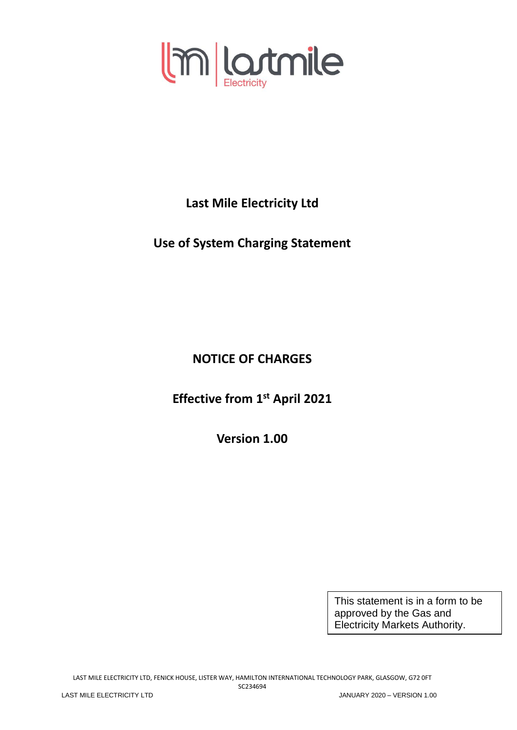

**Last Mile Electricity Ltd**

**Use of System Charging Statement**

**NOTICE OF CHARGES**

**Effective from 1 st April 2021**

**Version 1.00**

This statement is in a form to be approved by the Gas and Electricity Markets Authority.

LAST MILE ELECTRICITY LTD, FENICK HOUSE, LISTER WAY, HAMILTON INTERNATIONAL TECHNOLOGY PARK, GLASGOW, G72 0FT SC234694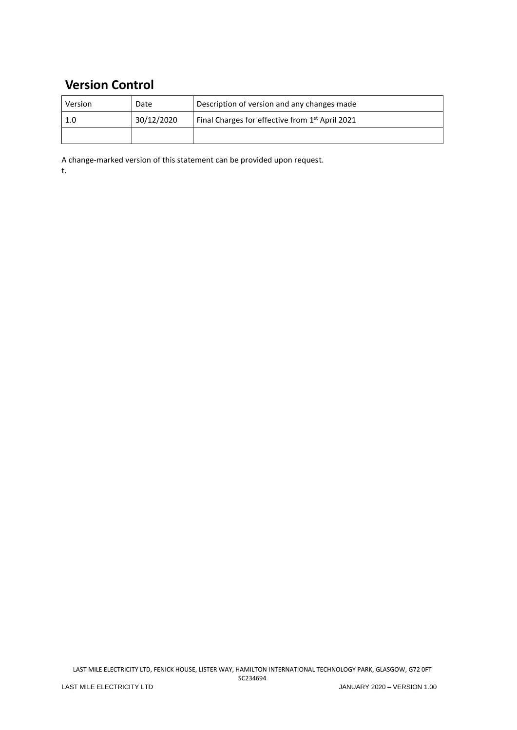# **Version Control**

| Version | Date       | Description of version and any changes made                 |
|---------|------------|-------------------------------------------------------------|
|         | 30/12/2020 | Final Charges for effective from 1 <sup>st</sup> April 2021 |
|         |            |                                                             |

A change-marked version of this statement can be provided upon request. t.

LAST MILE ELECTRICITY LTD, FENICK HOUSE, LISTER WAY, HAMILTON INTERNATIONAL TECHNOLOGY PARK, GLASGOW, G72 0FT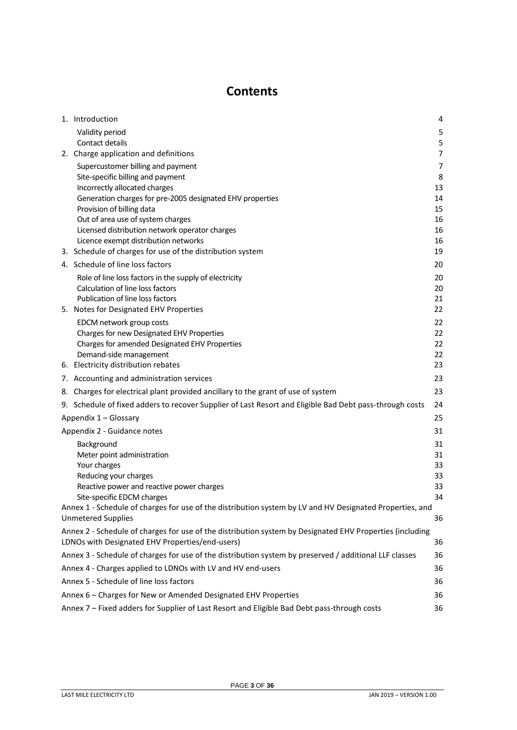# **Contents**

<span id="page-2-0"></span>

| 1. Introduction                                                                                          | 4              |  |
|----------------------------------------------------------------------------------------------------------|----------------|--|
| Validity period                                                                                          | 5              |  |
| Contact details                                                                                          | 5              |  |
| 2. Charge application and definitions                                                                    | $\overline{7}$ |  |
| Supercustomer billing and payment                                                                        | $\overline{7}$ |  |
| Site-specific billing and payment                                                                        | 8              |  |
| Incorrectly allocated charges                                                                            | 13<br>14       |  |
| Generation charges for pre-2005 designated EHV properties<br>Provision of billing data                   | 15             |  |
| Out of area use of system charges                                                                        | 16             |  |
| Licensed distribution network operator charges                                                           | 16             |  |
| Licence exempt distribution networks                                                                     | 16             |  |
| 3. Schedule of charges for use of the distribution system                                                | 19             |  |
| 4. Schedule of line loss factors                                                                         | 20             |  |
| Role of line loss factors in the supply of electricity                                                   | 20             |  |
| Calculation of line loss factors<br>Publication of line loss factors                                     | 20<br>21       |  |
| 5. Notes for Designated EHV Properties                                                                   | 22             |  |
| EDCM network group costs                                                                                 | 22             |  |
| Charges for new Designated EHV Properties                                                                | 22             |  |
| Charges for amended Designated EHV Properties                                                            | 22             |  |
| Demand-side management                                                                                   | 22             |  |
| 6. Electricity distribution rebates                                                                      | 23             |  |
| 7. Accounting and administration services                                                                | 23             |  |
| 8. Charges for electrical plant provided ancillary to the grant of use of system                         | 23             |  |
| 9. Schedule of fixed adders to recover Supplier of Last Resort and Eligible Bad Debt pass-through costs  | 24             |  |
| Appendix 1 - Glossary                                                                                    | 25             |  |
| Appendix 2 - Guidance notes                                                                              | 31             |  |
| Background                                                                                               | 31             |  |
| Meter point administration                                                                               | 31             |  |
| Your charges                                                                                             | 33             |  |
| Reducing your charges<br>Reactive power and reactive power charges                                       | 33<br>33       |  |
| Site-specific EDCM charges                                                                               | 34             |  |
| Annex 1 - Schedule of charges for use of the distribution system by LV and HV Designated Properties, and |                |  |
| <b>Unmetered Supplies</b>                                                                                | 36             |  |
| Annex 2 - Schedule of charges for use of the distribution system by Designated EHV Properties (including |                |  |
| LDNOs with Designated EHV Properties/end-users)                                                          | 36             |  |
| Annex 3 - Schedule of charges for use of the distribution system by preserved / additional LLF classes   | 36             |  |
| Annex 4 - Charges applied to LDNOs with LV and HV end-users                                              | 36             |  |
| Annex 5 - Schedule of line loss factors                                                                  | 36             |  |
| Annex 6 - Charges for New or Amended Designated EHV Properties<br>36                                     |                |  |
| Annex 7 - Fixed adders for Supplier of Last Resort and Eligible Bad Debt pass-through costs<br>36        |                |  |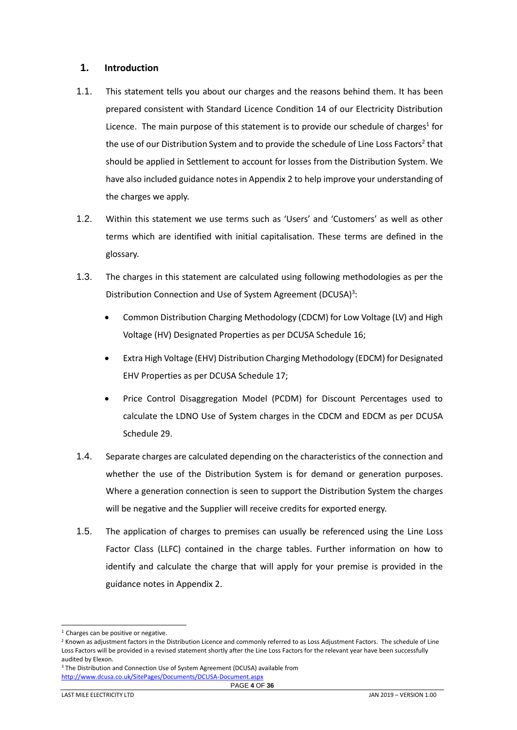# <span id="page-3-0"></span>**1. Introduction**

- 1.1. This statement tells you about our charges and the reasons behind them. It has been prepared consistent with Standard Licence Condition 14 of our Electricity Distribution Licence. The main purpose of this statement is to provide our schedule of charges<sup>1</sup> for the use of our Distribution System and to provide the schedule of Line Loss Factors<sup>2</sup> that should be applied in Settlement to account for losses from the Distribution System. We have also included guidance notes in Appendix 2 to help improve your understanding of the charges we apply.
- 1.2. Within this statement we use terms such as 'Users' and 'Customers' as well as other terms which are identified with initial capitalisation. These terms are defined in the glossary.
- 1.3. The charges in this statement are calculated using following methodologies as per the Distribution Connection and Use of System Agreement (DCUSA)<sup>3</sup>:
	- Common Distribution Charging Methodology (CDCM) for Low Voltage (LV) and High Voltage (HV) Designated Properties as per DCUSA Schedule 16;
	- Extra High Voltage (EHV) Distribution Charging Methodology (EDCM) for Designated EHV Properties as per DCUSA Schedule 17;
	- Price Control Disaggregation Model (PCDM) for Discount Percentages used to calculate the LDNO Use of System charges in the CDCM and EDCM as per DCUSA Schedule 29.
- 1.4. Separate charges are calculated depending on the characteristics of the connection and whether the use of the Distribution System is for demand or generation purposes. Where a generation connection is seen to support the Distribution System the charges will be negative and the Supplier will receive credits for exported energy.
- 1.5. The application of charges to premises can usually be referenced using the Line Loss Factor Class (LLFC) contained in the charge tables. Further information on how to identify and calculate the charge that will apply for your premise is provided in the guidance notes in Appendix 2.

<sup>&</sup>lt;sup>1</sup> Charges can be positive or negative.

<sup>&</sup>lt;sup>2</sup> Known as adjustment factors in the Distribution Licence and commonly referred to as Loss Adjustment Factors. The schedule of Line Loss Factors will be provided in a revised statement shortly after the Line Loss Factors for the relevant year have been successfully audited by Elexon.

<sup>&</sup>lt;sup>3</sup> The Distribution and Connection Use of System Agreement (DCUSA) available from <http://www.dcusa.co.uk/SitePages/Documents/DCUSA-Document.aspx>

PAGE **4** OF **36**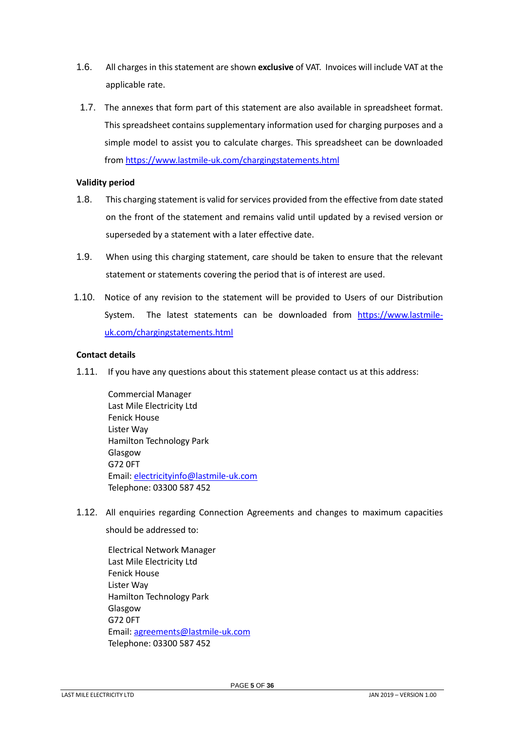- 1.6. All charges in this statement are shown **exclusive** of VAT. Invoices will include VAT at the applicable rate.
- 1.7. The annexes that form part of this statement are also available in spreadsheet format. This spreadsheet contains supplementary information used for charging purposes and a simple model to assist you to calculate charges. This spreadsheet can be downloaded fro[m https://www.lastmile-uk.com/chargingstatements.html](https://www.lastmile-uk.com/chargingstatements.html)

# <span id="page-4-0"></span>**Validity period**

- 1.8. This charging statement is valid for services provided from the effective from date stated on the front of the statement and remains valid until updated by a revised version or superseded by a statement with a later effective date.
- 1.9. When using this charging statement, care should be taken to ensure that the relevant statement or statements covering the period that is of interest are used.
- 1.10. Notice of any revision to the statement will be provided to Users of our Distribution System. The latest statements can be downloaded from [https://www.lastmile](https://www.lastmile-uk.com/chargingstatements.html)[uk.com/chargingstatements.html](https://www.lastmile-uk.com/chargingstatements.html)

# <span id="page-4-1"></span>**Contact details**

1.11. If you have any questions about this statement please contact us at this address:

Commercial Manager Last Mile Electricity Ltd Fenick House Lister Way Hamilton Technology Park Glasgow G72 0FT Email[: electricityinfo@lastmile-uk.com](mailto:electricityinfo@lastmile-uk.com) Telephone: 03300 587 452

<span id="page-4-2"></span>1.12. All enquiries regarding Connection Agreements and changes to maximum capacities

should be addressed to:

Electrical Network Manager Last Mile Electricity Ltd Fenick House Lister Way Hamilton Technology Park Glasgow G72 0FT Email[: agreements@lastmile-uk.com](mailto:agreements@lastmile-uk.com) Telephone: 03300 587 452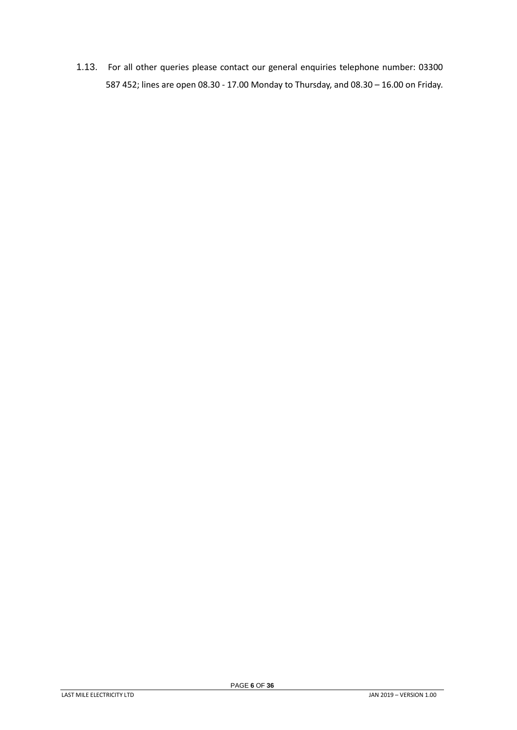1.13. For all other queries please contact our general enquiries telephone number: 03300 587 452; lines are open 08.30 - 17.00 Monday to Thursday, and 08.30 – 16.00 on Friday.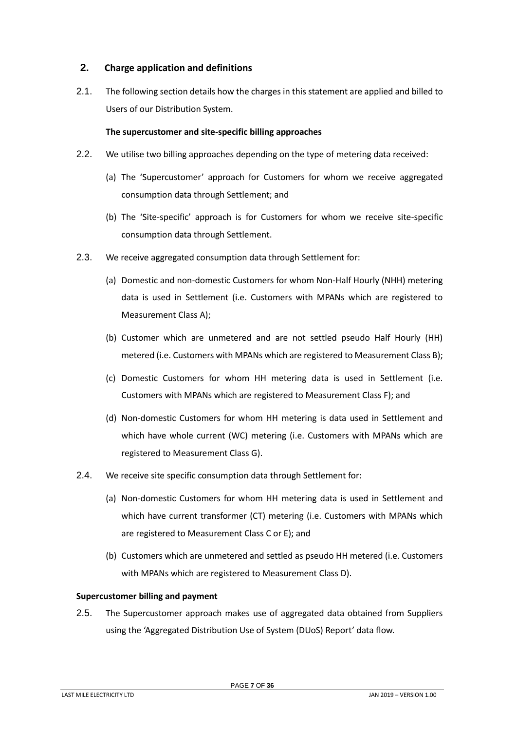# <span id="page-6-0"></span>**2. Charge application and definitions**

2.1. The following section details how the charges in this statement are applied and billed to Users of our Distribution System.

# **The supercustomer and site-specific billing approaches**

- 2.2. We utilise two billing approaches depending on the type of metering data received:
	- (a) The 'Supercustomer' approach for Customers for whom we receive aggregated consumption data through Settlement; and
	- (b) The 'Site-specific' approach is for Customers for whom we receive site-specific consumption data through Settlement.
- 2.3. We receive aggregated consumption data through Settlement for:
	- (a) Domestic and non-domestic Customers for whom Non-Half Hourly (NHH) metering data is used in Settlement (i.e. Customers with MPANs which are registered to Measurement Class A);
	- (b) Customer which are unmetered and are not settled pseudo Half Hourly (HH) metered (i.e. Customers with MPANs which are registered to Measurement Class B);
	- (c) Domestic Customers for whom HH metering data is used in Settlement (i.e. Customers with MPANs which are registered to Measurement Class F); and
	- (d) Non-domestic Customers for whom HH metering is data used in Settlement and which have whole current (WC) metering (i.e. Customers with MPANs which are registered to Measurement Class G).
- 2.4. We receive site specific consumption data through Settlement for:
	- (a) Non-domestic Customers for whom HH metering data is used in Settlement and which have current transformer (CT) metering (i.e. Customers with MPANs which are registered to Measurement Class C or E); and
	- (b) Customers which are unmetered and settled as pseudo HH metered (i.e. Customers with MPANs which are registered to Measurement Class D).

#### <span id="page-6-1"></span>**Supercustomer billing and payment**

2.5. The Supercustomer approach makes use of aggregated data obtained from Suppliers using the 'Aggregated Distribution Use of System (DUoS) Report' data flow.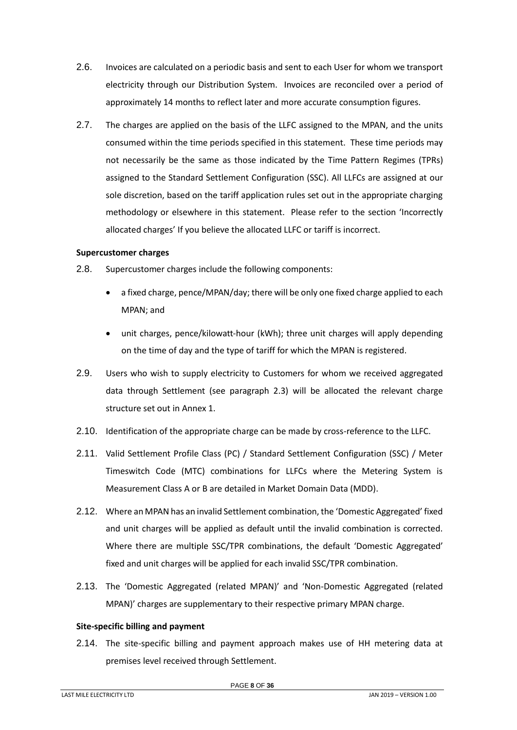- 2.6. Invoices are calculated on a periodic basis and sent to each User for whom we transport electricity through our Distribution System. Invoices are reconciled over a period of approximately 14 months to reflect later and more accurate consumption figures.
- 2.7. The charges are applied on the basis of the LLFC assigned to the MPAN, and the units consumed within the time periods specified in this statement. These time periods may not necessarily be the same as those indicated by the Time Pattern Regimes (TPRs) assigned to the Standard Settlement Configuration (SSC). All LLFCs are assigned at our sole discretion, based on the tariff application rules set out in the appropriate charging methodology or elsewhere in this statement. Please refer to the section 'Incorrectly allocated charges' If you believe the allocated LLFC or tariff is incorrect.

#### **Supercustomer charges**

- 2.8. Supercustomer charges include the following components:
	- a fixed charge, pence/MPAN/day; there will be only one fixed charge applied to each MPAN; and
	- unit charges, pence/kilowatt-hour (kWh); three unit charges will apply depending on the time of day and the type of tariff for which the MPAN is registered.
- 2.9. Users who wish to supply electricity to Customers for whom we received aggregated data through Settlement (see paragraph 2.3) will be allocated the relevant charge structure set out in Annex 1.
- 2.10. Identification of the appropriate charge can be made by cross-reference to the LLFC.
- 2.11. Valid Settlement Profile Class (PC) / Standard Settlement Configuration (SSC) / Meter Timeswitch Code (MTC) combinations for LLFCs where the Metering System is Measurement Class A or B are detailed in Market Domain Data (MDD).
- 2.12. Where an MPAN has an invalid Settlement combination, the 'Domestic Aggregated' fixed and unit charges will be applied as default until the invalid combination is corrected. Where there are multiple SSC/TPR combinations, the default 'Domestic Aggregated' fixed and unit charges will be applied for each invalid SSC/TPR combination.
- 2.13. The 'Domestic Aggregated (related MPAN)' and 'Non-Domestic Aggregated (related MPAN)' charges are supplementary to their respective primary MPAN charge.

#### <span id="page-7-0"></span>**Site-specific billing and payment**

2.14. The site-specific billing and payment approach makes use of HH metering data at premises level received through Settlement.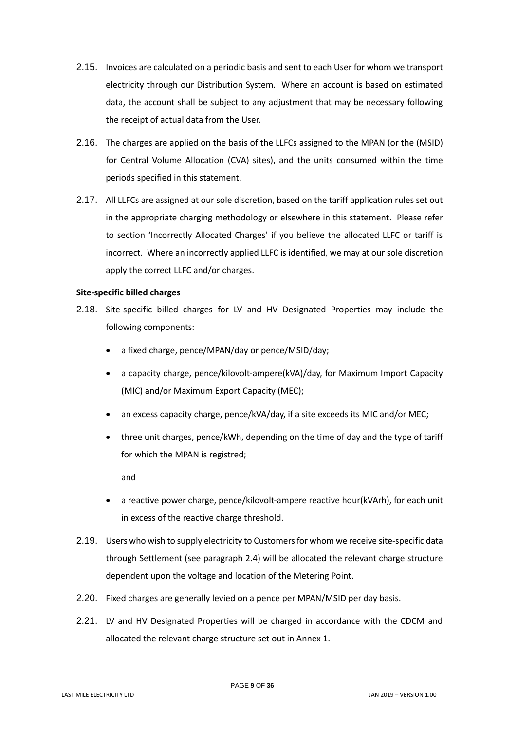- 2.15. Invoices are calculated on a periodic basis and sent to each User for whom we transport electricity through our Distribution System. Where an account is based on estimated data, the account shall be subject to any adjustment that may be necessary following the receipt of actual data from the User.
- 2.16. The charges are applied on the basis of the LLFCs assigned to the MPAN (or the (MSID) for Central Volume Allocation (CVA) sites), and the units consumed within the time periods specified in this statement.
- 2.17. All LLFCs are assigned at our sole discretion, based on the tariff application rules set out in the appropriate charging methodology or elsewhere in this statement. Please refer to section 'Incorrectly Allocated Charges' if you believe the allocated LLFC or tariff is incorrect. Where an incorrectly applied LLFC is identified, we may at our sole discretion apply the correct LLFC and/or charges.

#### **Site-specific billed charges**

- 2.18. Site-specific billed charges for LV and HV Designated Properties may include the following components:
	- a fixed charge, pence/MPAN/day or pence/MSID/day;
	- a capacity charge, pence/kilovolt-ampere(kVA)/day, for Maximum Import Capacity (MIC) and/or Maximum Export Capacity (MEC);
	- an excess capacity charge, pence/kVA/day, if a site exceeds its MIC and/or MEC;
	- three unit charges, pence/kWh, depending on the time of day and the type of tariff for which the MPAN is registred;

and

- a reactive power charge, pence/kilovolt-ampere reactive hour(kVArh), for each unit in excess of the reactive charge threshold.
- 2.19. Users who wish to supply electricity to Customers for whom we receive site-specific data through Settlement (see paragraph 2.4) will be allocated the relevant charge structure dependent upon the voltage and location of the Metering Point.
- 2.20. Fixed charges are generally levied on a pence per MPAN/MSID per day basis.
- 2.21. LV and HV Designated Properties will be charged in accordance with the CDCM and allocated the relevant charge structure set out in Annex 1.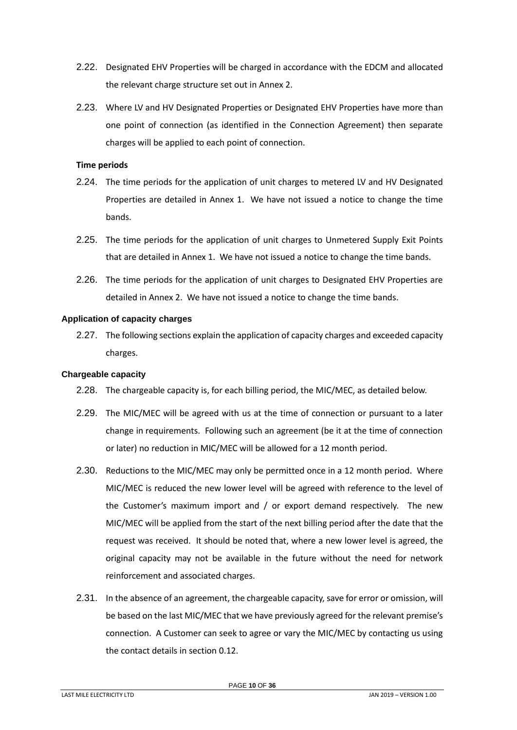- 2.22. Designated EHV Properties will be charged in accordance with the EDCM and allocated the relevant charge structure set out in Annex 2.
- 2.23. Where LV and HV Designated Properties or Designated EHV Properties have more than one point of connection (as identified in the Connection Agreement) then separate charges will be applied to each point of connection.

#### **Time periods**

- 2.24. The time periods for the application of unit charges to metered LV and HV Designated Properties are detailed in Annex 1. We have not issued a notice to change the time bands.
- 2.25. The time periods for the application of unit charges to Unmetered Supply Exit Points that are detailed in Annex 1. We have not issued a notice to change the time bands.
- 2.26. The time periods for the application of unit charges to Designated EHV Properties are detailed in Annex 2. We have not issued a notice to change the time bands.

#### **Application of capacity charges**

2.27. The following sections explain the application of capacity charges and exceeded capacity charges.

#### **Chargeable capacity**

- 2.28. The chargeable capacity is, for each billing period, the MIC/MEC, as detailed below.
- 2.29. The MIC/MEC will be agreed with us at the time of connection or pursuant to a later change in requirements. Following such an agreement (be it at the time of connection or later) no reduction in MIC/MEC will be allowed for a 12 month period.
- 2.30. Reductions to the MIC/MEC may only be permitted once in a 12 month period. Where MIC/MEC is reduced the new lower level will be agreed with reference to the level of the Customer's maximum import and / or export demand respectively. The new MIC/MEC will be applied from the start of the next billing period after the date that the request was received. It should be noted that, where a new lower level is agreed, the original capacity may not be available in the future without the need for network reinforcement and associated charges.
- 2.31. In the absence of an agreement, the chargeable capacity, save for error or omission, will be based on the last MIC/MEC that we have previously agreed for the relevant premise's connection. A Customer can seek to agree or vary the MIC/MEC by contacting us using the contact details in section [0.](#page-2-0)12.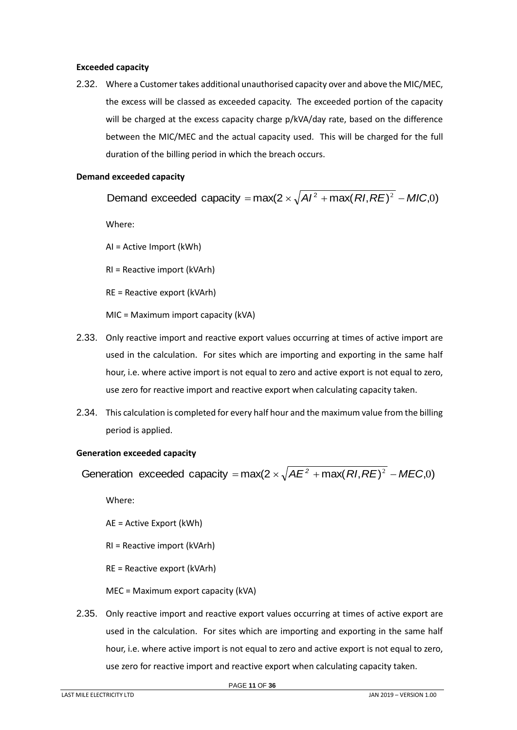## **Exceeded capacity**

2.32. Where a Customer takes additional unauthorised capacity over and above the MIC/MEC, the excess will be classed as exceeded capacity. The exceeded portion of the capacity will be charged at the excess capacity charge p/kVA/day rate, based on the difference between the MIC/MEC and the actual capacity used. This will be charged for the full duration of the billing period in which the breach occurs.

# **Demand exceeded capacity**

Demand exceeded capacity =  $max(2 \times \sqrt{A}I^2 + max(RI, RE)^2 - MIC, 0)$ 

Where:

AI = Active Import (kWh)

RI = Reactive import (kVArh)

RE = Reactive export (kVArh)

MIC = Maximum import capacity (kVA)

- 2.33. Only reactive import and reactive export values occurring at times of active import are used in the calculation. For sites which are importing and exporting in the same half hour, i.e. where active import is not equal to zero and active export is not equal to zero, use zero for reactive import and reactive export when calculating capacity taken.
- 2.34. This calculation is completed for every half hour and the maximum value from the billing period is applied.

#### **Generation exceeded capacity**

Generation exceeded capacity =  $max(2 \times \sqrt{AE^2 + max(RI, RE)^2 - MEC,0})$ 

Where:

AE = Active Export (kWh)

RI = Reactive import (kVArh)

RE = Reactive export (kVArh)

MEC = Maximum export capacity (kVA)

2.35. Only reactive import and reactive export values occurring at times of active export are used in the calculation. For sites which are importing and exporting in the same half hour, i.e. where active import is not equal to zero and active export is not equal to zero, use zero for reactive import and reactive export when calculating capacity taken.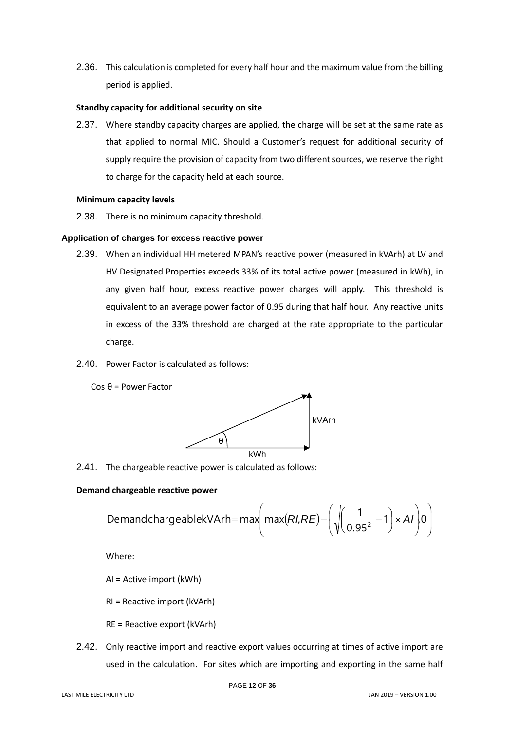2.36. This calculation is completed for every half hour and the maximum value from the billing period is applied.

## **Standby capacity for additional security on site**

2.37. Where standby capacity charges are applied, the charge will be set at the same rate as that applied to normal MIC. Should a Customer's request for additional security of supply require the provision of capacity from two different sources, we reserve the right to charge for the capacity held at each source.

#### **Minimum capacity levels**

2.38. There is no minimum capacity threshold.

# **Application of charges for excess reactive power**

- 2.39. When an individual HH metered MPAN's reactive power (measured in kVArh) at LV and HV Designated Properties exceeds 33% of its total active power (measured in kWh), in any given half hour, excess reactive power charges will apply. This threshold is equivalent to an average power factor of 0.95 during that half hour. Any reactive units in excess of the 33% threshold are charged at the rate appropriate to the particular charge.
- 2.40. Power Factor is calculated as follows:



2.41. The chargeable reactive power is calculated as follows:

#### **Demand chargeable reactive power**

d chargeable reactive power  
DemandchargeablekVArh= max
$$
\left( max(RI,RE) - \left( \sqrt{\left( \frac{1}{0.95^2} - 1 \right)} \times AI \right) 0 \right)
$$

kWh

kVArh

Where:

AI = Active import (kWh)

RI = Reactive import (kVArh)

RE = Reactive export (kVArh)

2.42. Only reactive import and reactive export values occurring at times of active import are used in the calculation. For sites which are importing and exporting in the same half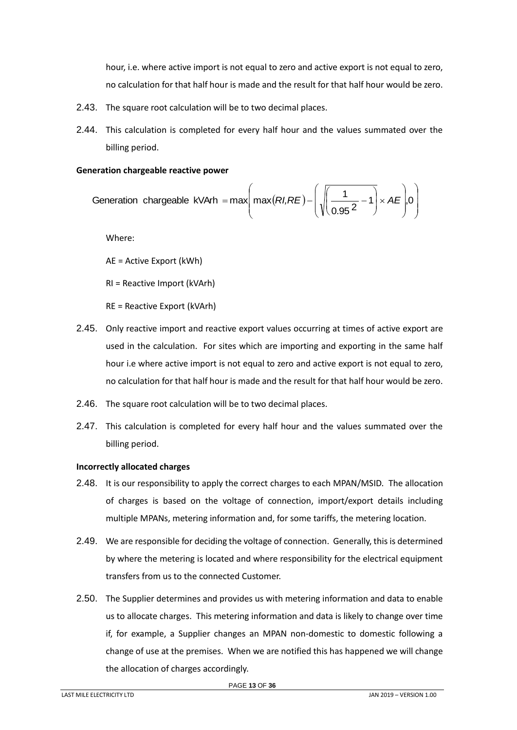hour, i.e. where active import is not equal to zero and active export is not equal to zero, no calculation for that half hour is made and the result for that half hour would be zero.

- 2.43. The square root calculation will be to two decimal places.
- 2.44. This calculation is completed for every half hour and the values summated over the billing period.

# **Generation chargeable reactive power**

Generation chargeable kVArh = max
$$
\left(\max(RI,RE) - \left(\sqrt{\frac{1}{0.95^2 - 1}} \times AE\right), 0\right)
$$

Where:

AE = Active Export (kWh)

RI = Reactive Import (kVArh)

RE = Reactive Export (kVArh)

- 2.45. Only reactive import and reactive export values occurring at times of active export are used in the calculation. For sites which are importing and exporting in the same half hour i.e where active import is not equal to zero and active export is not equal to zero, no calculation for that half hour is made and the result for that half hour would be zero.
- 2.46. The square root calculation will be to two decimal places.
- 2.47. This calculation is completed for every half hour and the values summated over the billing period.

# <span id="page-12-0"></span>**Incorrectly allocated charges**

- 2.48. It is our responsibility to apply the correct charges to each MPAN/MSID. The allocation of charges is based on the voltage of connection, import/export details including multiple MPANs, metering information and, for some tariffs, the metering location.
- 2.49. We are responsible for deciding the voltage of connection. Generally, this is determined by where the metering is located and where responsibility for the electrical equipment transfers from us to the connected Customer.
- 2.50. The Supplier determines and provides us with metering information and data to enable us to allocate charges. This metering information and data is likely to change over time if, for example, a Supplier changes an MPAN non-domestic to domestic following a change of use at the premises. When we are notified this has happened we will change the allocation of charges accordingly.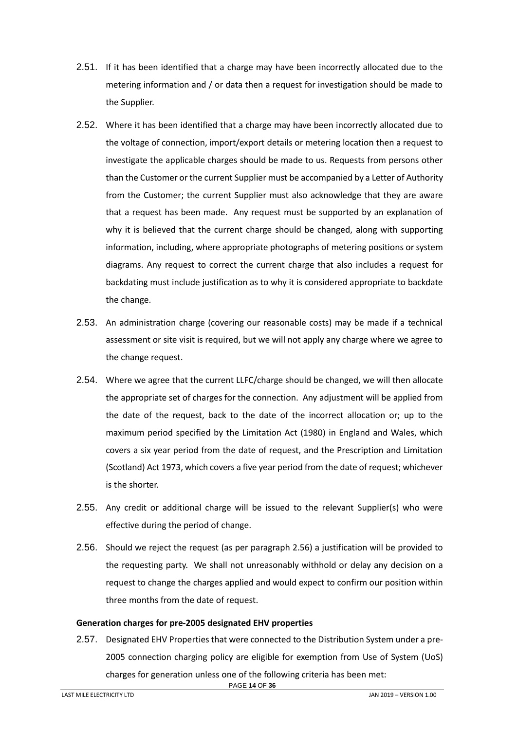- 2.51. If it has been identified that a charge may have been incorrectly allocated due to the metering information and / or data then a request for investigation should be made to the Supplier.
- 2.52. Where it has been identified that a charge may have been incorrectly allocated due to the voltage of connection, import/export details or metering location then a request to investigate the applicable charges should be made to us. Requests from persons other than the Customer or the current Supplier must be accompanied by a Letter of Authority from the Customer; the current Supplier must also acknowledge that they are aware that a request has been made. Any request must be supported by an explanation of why it is believed that the current charge should be changed, along with supporting information, including, where appropriate photographs of metering positions or system diagrams. Any request to correct the current charge that also includes a request for backdating must include justification as to why it is considered appropriate to backdate the change.
- 2.53. An administration charge (covering our reasonable costs) may be made if a technical assessment or site visit is required, but we will not apply any charge where we agree to the change request.
- 2.54. Where we agree that the current LLFC/charge should be changed, we will then allocate the appropriate set of charges for the connection. Any adjustment will be applied from the date of the request, back to the date of the incorrect allocation or; up to the maximum period specified by the Limitation Act (1980) in England and Wales, which covers a six year period from the date of request, and the Prescription and Limitation (Scotland) Act 1973, which covers a five year period from the date of request; whichever is the shorter.
- 2.55. Any credit or additional charge will be issued to the relevant Supplier(s) who were effective during the period of change.
- 2.56. Should we reject the request (as per paragraph 2.56) a justification will be provided to the requesting party. We shall not unreasonably withhold or delay any decision on a request to change the charges applied and would expect to confirm our position within three months from the date of request.

#### <span id="page-13-0"></span>**Generation charges for pre-2005 designated EHV properties**

PAGE **14** OF **36** 2.57. Designated EHV Properties that were connected to the Distribution System under a pre-2005 connection charging policy are eligible for exemption from Use of System (UoS) charges for generation unless one of the following criteria has been met: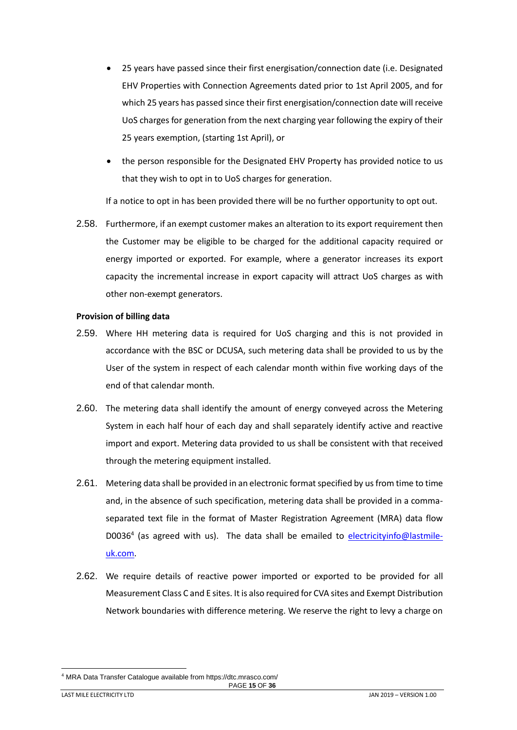- 25 years have passed since their first energisation/connection date (i.e. Designated EHV Properties with Connection Agreements dated prior to 1st April 2005, and for which 25 years has passed since their first energisation/connection date will receive UoS charges for generation from the next charging year following the expiry of their 25 years exemption, (starting 1st April), or
- the person responsible for the Designated EHV Property has provided notice to us that they wish to opt in to UoS charges for generation.

If a notice to opt in has been provided there will be no further opportunity to opt out.

2.58. Furthermore, if an exempt customer makes an alteration to its export requirement then the Customer may be eligible to be charged for the additional capacity required or energy imported or exported. For example, where a generator increases its export capacity the incremental increase in export capacity will attract UoS charges as with other non-exempt generators.

#### <span id="page-14-0"></span>**Provision of billing data**

- 2.59. Where HH metering data is required for UoS charging and this is not provided in accordance with the BSC or DCUSA, such metering data shall be provided to us by the User of the system in respect of each calendar month within five working days of the end of that calendar month.
- 2.60. The metering data shall identify the amount of energy conveyed across the Metering System in each half hour of each day and shall separately identify active and reactive import and export. Metering data provided to us shall be consistent with that received through the metering equipment installed.
- 2.61. Metering data shall be provided in an electronic format specified by us from time to time and, in the absence of such specification, metering data shall be provided in a commaseparated text file in the format of Master Registration Agreement (MRA) data flow D0036<sup>4</sup> (as agreed with us). The data shall be emailed to [electricityinfo@lastmile](mailto:electricityinfo@energetics-uk.com)[uk.com.](mailto:electricityinfo@energetics-uk.com)
- 2.62. We require details of reactive power imported or exported to be provided for all Measurement Class C and E sites. It is also required for CVA sites and Exempt Distribution Network boundaries with difference metering. We reserve the right to levy a charge on

<sup>4</sup> MRA Data Transfer Catalogue available from https://dtc.mrasco.com/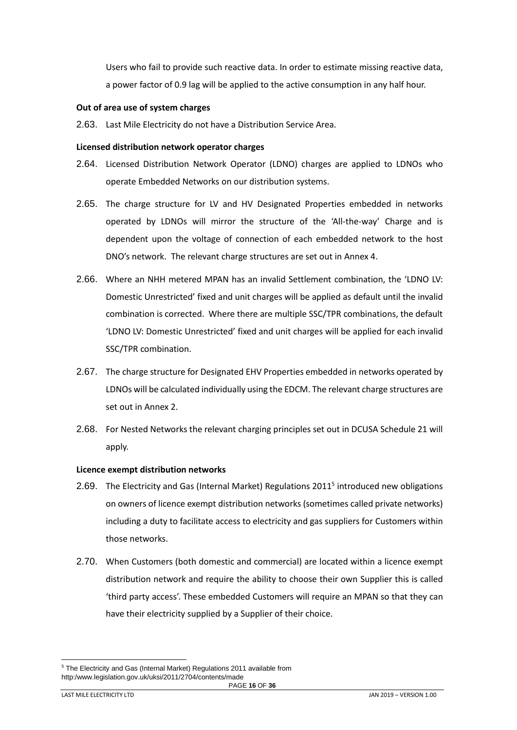Users who fail to provide such reactive data. In order to estimate missing reactive data, a power factor of 0.9 lag will be applied to the active consumption in any half hour.

#### <span id="page-15-0"></span>**Out of area use of system charges**

2.63. Last Mile Electricity do not have a Distribution Service Area.

#### <span id="page-15-1"></span>**Licensed distribution network operator charges**

- 2.64. Licensed Distribution Network Operator (LDNO) charges are applied to LDNOs who operate Embedded Networks on our distribution systems.
- 2.65. The charge structure for LV and HV Designated Properties embedded in networks operated by LDNOs will mirror the structure of the 'All-the-way' Charge and is dependent upon the voltage of connection of each embedded network to the host DNO's network. The relevant charge structures are set out in Annex 4.
- 2.66. Where an NHH metered MPAN has an invalid Settlement combination, the 'LDNO LV: Domestic Unrestricted' fixed and unit charges will be applied as default until the invalid combination is corrected. Where there are multiple SSC/TPR combinations, the default 'LDNO LV: Domestic Unrestricted' fixed and unit charges will be applied for each invalid SSC/TPR combination.
- 2.67. The charge structure for Designated EHV Properties embedded in networks operated by LDNOs will be calculated individually using the EDCM. The relevant charge structures are set out in Annex 2.
- 2.68. For Nested Networks the relevant charging principles set out in DCUSA Schedule 21 will apply.

#### <span id="page-15-2"></span>**Licence exempt distribution networks**

- 2.69. The Electricity and Gas (Internal Market) Regulations 2011<sup>5</sup> introduced new obligations on owners of licence exempt distribution networks (sometimes called private networks) including a duty to facilitate access to electricity and gas suppliers for Customers within those networks.
- 2.70. When Customers (both domestic and commercial) are located within a licence exempt distribution network and require the ability to choose their own Supplier this is called 'third party access'. These embedded Customers will require an MPAN so that they can have their electricity supplied by a Supplier of their choice.

PAGE **16** OF **36** <sup>5</sup> The Electricity and Gas (Internal Market) Regulations 2011 available from http:/www.legislation.gov.uk/uksi/2011/2704/contents/made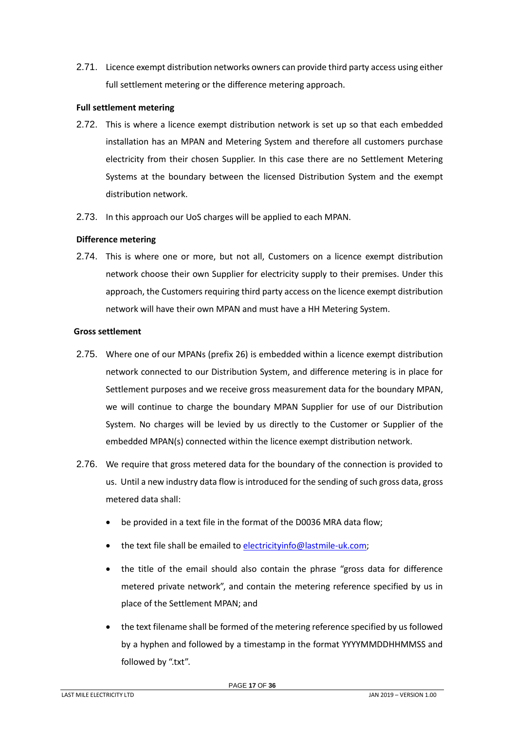2.71. Licence exempt distribution networks owners can provide third party access using either full settlement metering or the difference metering approach.

## **Full settlement metering**

- 2.72. This is where a licence exempt distribution network is set up so that each embedded installation has an MPAN and Metering System and therefore all customers purchase electricity from their chosen Supplier. In this case there are no Settlement Metering Systems at the boundary between the licensed Distribution System and the exempt distribution network.
- 2.73. In this approach our UoS charges will be applied to each MPAN.

# **Difference metering**

2.74. This is where one or more, but not all, Customers on a licence exempt distribution network choose their own Supplier for electricity supply to their premises. Under this approach, the Customers requiring third party access on the licence exempt distribution network will have their own MPAN and must have a HH Metering System.

# **Gross settlement**

- 2.75. Where one of our MPANs (prefix 26) is embedded within a licence exempt distribution network connected to our Distribution System, and difference metering is in place for Settlement purposes and we receive gross measurement data for the boundary MPAN, we will continue to charge the boundary MPAN Supplier for use of our Distribution System. No charges will be levied by us directly to the Customer or Supplier of the embedded MPAN(s) connected within the licence exempt distribution network.
- 2.76. We require that gross metered data for the boundary of the connection is provided to us. Until a new industry data flow is introduced for the sending of such gross data, gross metered data shall:
	- be provided in a text file in the format of the D0036 MRA data flow;
	- the text file shall be emailed to [electricityinfo@lastmile-uk.com;](mailto:electricityinfo@energetics-uk.com)
	- the title of the email should also contain the phrase "gross data for difference metered private network", and contain the metering reference specified by us in place of the Settlement MPAN; and
	- the text filename shall be formed of the metering reference specified by us followed by a hyphen and followed by a timestamp in the format YYYYMMDDHHMMSS and followed by ".txt".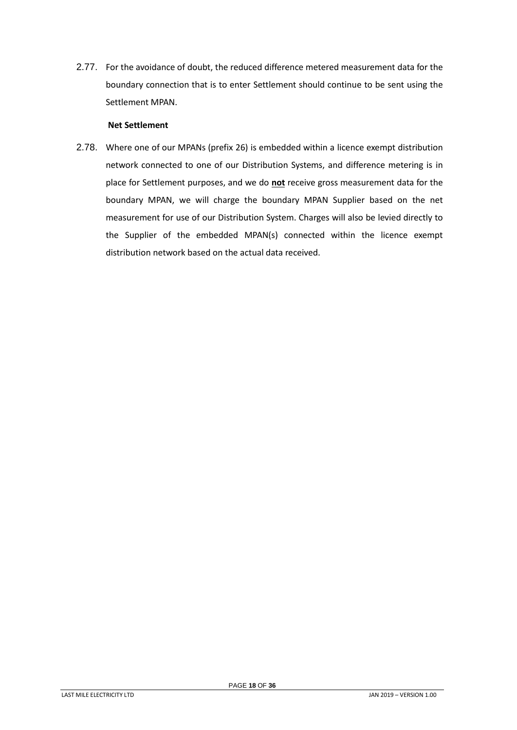2.77. For the avoidance of doubt, the reduced difference metered measurement data for the boundary connection that is to enter Settlement should continue to be sent using the Settlement MPAN.

## **Net Settlement**

2.78. Where one of our MPANs (prefix 26) is embedded within a licence exempt distribution network connected to one of our Distribution Systems, and difference metering is in place for Settlement purposes, and we do **not** receive gross measurement data for the boundary MPAN, we will charge the boundary MPAN Supplier based on the net measurement for use of our Distribution System. Charges will also be levied directly to the Supplier of the embedded MPAN(s) connected within the licence exempt distribution network based on the actual data received.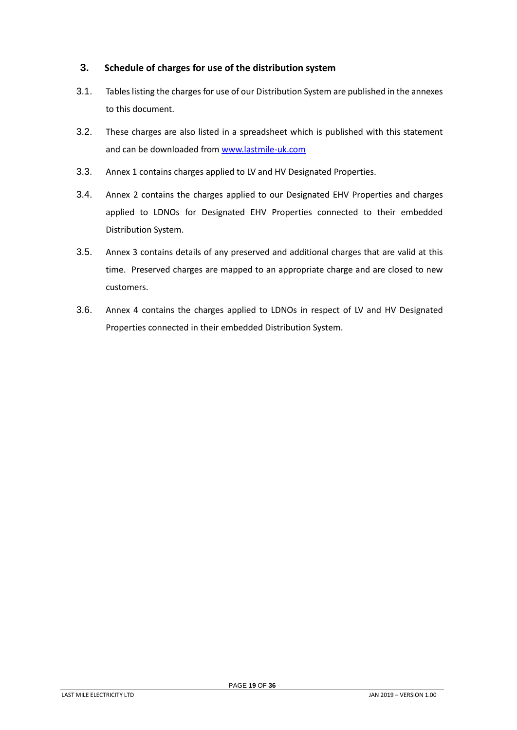# <span id="page-18-0"></span>**3. Schedule of charges for use of the distribution system**

- 3.1. Tables listing the charges for use of our Distribution System are published in the annexes to this document.
- 3.2. These charges are also listed in a spreadsheet which is published with this statement and can be downloaded from [www.lastmile-uk.com](http://www.lastmile-uk.com/)
- 3.3. Annex 1 contains charges applied to LV and HV Designated Properties.
- 3.4. Annex 2 contains the charges applied to our Designated EHV Properties and charges applied to LDNOs for Designated EHV Properties connected to their embedded Distribution System.
- 3.5. Annex 3 contains details of any preserved and additional charges that are valid at this time. Preserved charges are mapped to an appropriate charge and are closed to new customers.
- 3.6. Annex 4 contains the charges applied to LDNOs in respect of LV and HV Designated Properties connected in their embedded Distribution System.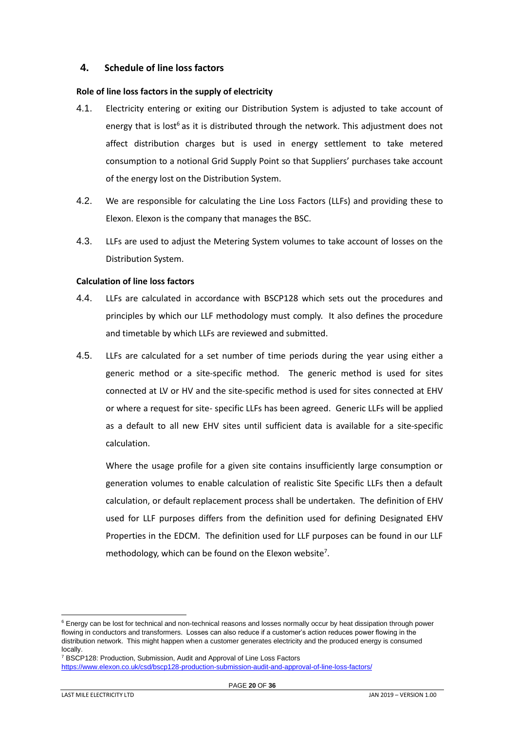# <span id="page-19-0"></span>**4. Schedule of line loss factors**

#### <span id="page-19-1"></span>**Role of line loss factors in the supply of electricity**

- 4.1. Electricity entering or exiting our Distribution System is adjusted to take account of energy that is lost<sup>6</sup> as it is distributed through the network. This adjustment does not affect distribution charges but is used in energy settlement to take metered consumption to a notional Grid Supply Point so that Suppliers' purchases take account of the energy lost on the Distribution System.
- 4.2. We are responsible for calculating the Line Loss Factors (LLFs) and providing these to Elexon. Elexon is the company that manages the BSC.
- 4.3. LLFs are used to adjust the Metering System volumes to take account of losses on the Distribution System.

#### <span id="page-19-2"></span>**Calculation of line loss factors**

- 4.4. LLFs are calculated in accordance with BSCP128 which sets out the procedures and principles by which our LLF methodology must comply. It also defines the procedure and timetable by which LLFs are reviewed and submitted.
- 4.5. LLFs are calculated for a set number of time periods during the year using either a generic method or a site-specific method. The generic method is used for sites connected at LV or HV and the site-specific method is used for sites connected at EHV or where a request for site- specific LLFs has been agreed. Generic LLFs will be applied as a default to all new EHV sites until sufficient data is available for a site-specific calculation.

Where the usage profile for a given site contains insufficiently large consumption or generation volumes to enable calculation of realistic Site Specific LLFs then a default calculation, or default replacement process shall be undertaken. The definition of EHV used for LLF purposes differs from the definition used for defining Designated EHV Properties in the EDCM. The definition used for LLF purposes can be found in our LLF methodology, which can be found on the Elexon website<sup>7</sup>.

<sup>&</sup>lt;sup>6</sup> Energy can be lost for technical and non-technical reasons and losses normally occur by heat dissipation through power flowing in conductors and transformers. Losses can also reduce if a customer's action reduces power flowing in the distribution network. This might happen when a customer generates electricity and the produced energy is consumed locally.

<sup>&</sup>lt;sup>7</sup> BSCP128: Production, Submission, Audit and Approval of Line Loss Factors <https://www.elexon.co.uk/csd/bscp128-production-submission-audit-and-approval-of-line-loss-factors/>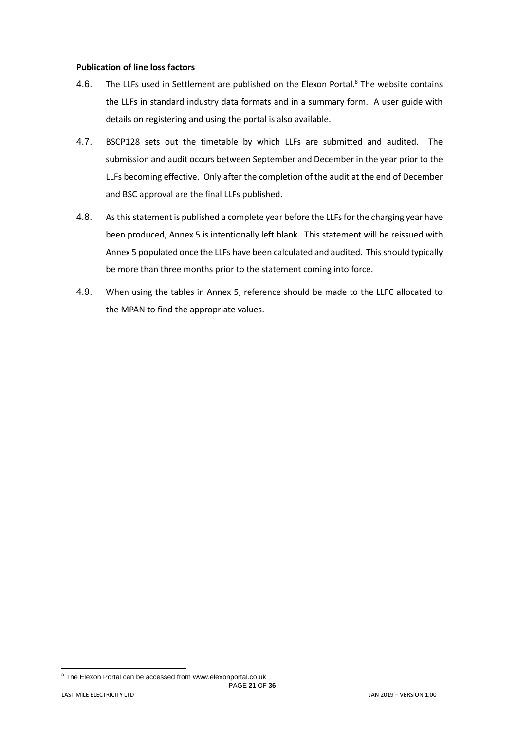#### <span id="page-20-0"></span>**Publication of line loss factors**

- 4.6. The LLFs used in Settlement are published on the Elexon Portal.<sup>8</sup> The website contains the LLFs in standard industry data formats and in a summary form. A user guide with details on registering and using the portal is also available.
- 4.7. BSCP128 sets out the timetable by which LLFs are submitted and audited. The submission and audit occurs between September and December in the year prior to the LLFs becoming effective. Only after the completion of the audit at the end of December and BSC approval are the final LLFs published.
- 4.8. As this statement is published a complete year before the LLFs for the charging year have been produced, Annex 5 is intentionally left blank. This statement will be reissued with Annex 5 populated once the LLFs have been calculated and audited. This should typically be more than three months prior to the statement coming into force.
- 4.9. When using the tables in Annex 5, reference should be made to the LLFC allocated to the MPAN to find the appropriate values.

<sup>&</sup>lt;sup>8</sup> The Elexon Portal can be accessed from www.elexonportal.co.uk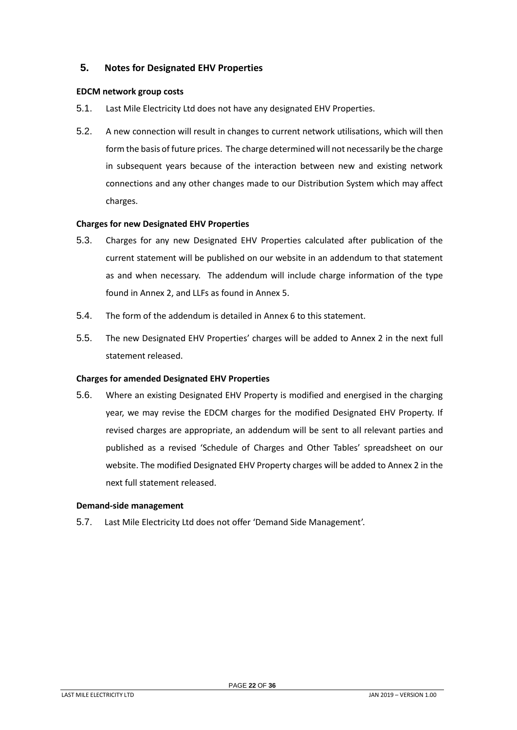# <span id="page-21-0"></span>**5. Notes for Designated EHV Properties**

## <span id="page-21-1"></span>**EDCM network group costs**

- 5.1. Last Mile Electricity Ltd does not have any designated EHV Properties.
- 5.2. A new connection will result in changes to current network utilisations, which will then form the basis of future prices. The charge determined will not necessarily be the charge in subsequent years because of the interaction between new and existing network connections and any other changes made to our Distribution System which may affect charges.

# <span id="page-21-2"></span>**Charges for new Designated EHV Properties**

- 5.3. Charges for any new Designated EHV Properties calculated after publication of the current statement will be published on our website in an addendum to that statement as and when necessary. The addendum will include charge information of the type found in Annex 2, and LLFs as found in Annex 5.
- 5.4. The form of the addendum is detailed in Annex 6 to this statement.
- 5.5. The new Designated EHV Properties' charges will be added to Annex 2 in the next full statement released.

## <span id="page-21-3"></span>**Charges for amended Designated EHV Properties**

5.6. Where an existing Designated EHV Property is modified and energised in the charging year, we may revise the EDCM charges for the modified Designated EHV Property. If revised charges are appropriate, an addendum will be sent to all relevant parties and published as a revised 'Schedule of Charges and Other Tables' spreadsheet on our website. The modified Designated EHV Property charges will be added to Annex 2 in the next full statement released.

#### <span id="page-21-4"></span>**Demand-side management**

5.7. Last Mile Electricity Ltd does not offer 'Demand Side Management'.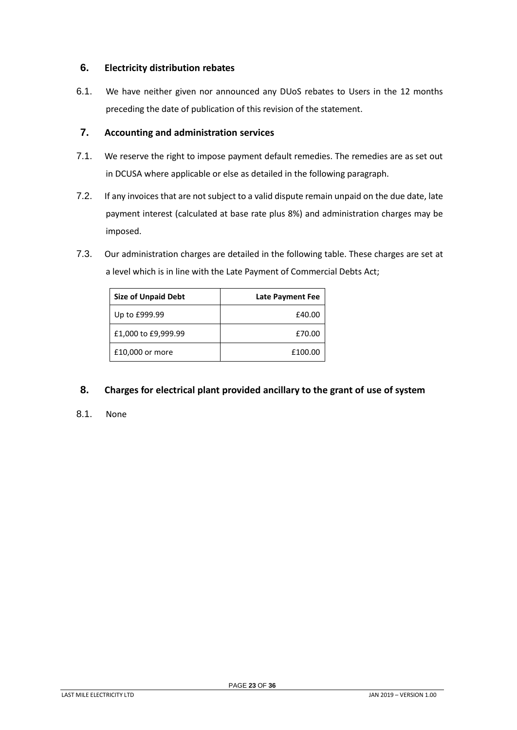# <span id="page-22-0"></span>**6. Electricity distribution rebates**

6.1. We have neither given nor announced any DUoS rebates to Users in the 12 months preceding the date of publication of this revision of the statement.

# <span id="page-22-1"></span>**7. Accounting and administration services**

- 7.1. We reserve the right to impose payment default remedies. The remedies are as set out in DCUSA where applicable or else as detailed in the following paragraph.
- 7.2. If any invoices that are not subject to a valid dispute remain unpaid on the due date, late payment interest (calculated at base rate plus 8%) and administration charges may be imposed.
- 7.3. Our administration charges are detailed in the following table. These charges are set at a level which is in line with the Late Payment of Commercial Debts Act;

| <b>Size of Unpaid Debt</b> | <b>Late Payment Fee</b> |
|----------------------------|-------------------------|
| Up to £999.99              | £40.00                  |
| £1,000 to £9,999.99        | £70.00                  |
| £10,000 or more            | £100.00                 |

# <span id="page-22-2"></span>**8. Charges for electrical plant provided ancillary to the grant of use of system**

8.1. None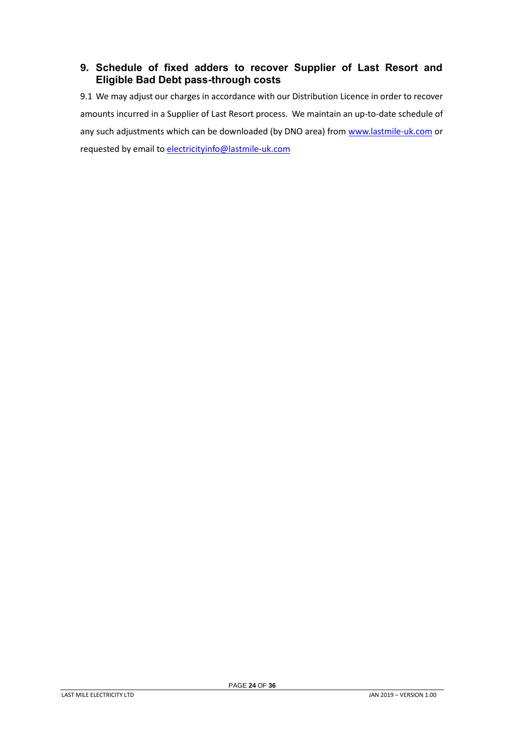# <span id="page-23-0"></span>**9. Schedule of fixed adders to recover Supplier of Last Resort and Eligible Bad Debt pass-through costs**

9.1 We may adjust our charges in accordance with our Distribution Licence in order to recover amounts incurred in a Supplier of Last Resort process. We maintain an up-to-date schedule of any such adjustments which can be downloaded (by DNO area) from [www.lastmile-uk.com](http://www.lastmile-uk.com/) or requested by email to [electricityinfo@lastmile-uk.com](mailto:electricityinfo@lastmile-uk.com)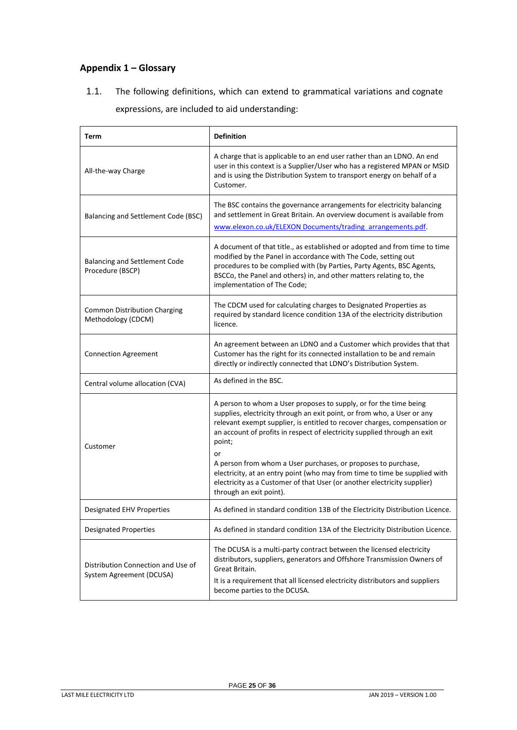# <span id="page-24-0"></span>**Appendix 1 – Glossary**

1.1. The following definitions, which can extend to grammatical variations and cognate expressions, are included to aid understanding:

| Term                                                           | <b>Definition</b>                                                                                                                                                                                                                                                                                                                                                                                                                                                                                                                                                           |
|----------------------------------------------------------------|-----------------------------------------------------------------------------------------------------------------------------------------------------------------------------------------------------------------------------------------------------------------------------------------------------------------------------------------------------------------------------------------------------------------------------------------------------------------------------------------------------------------------------------------------------------------------------|
| All-the-way Charge                                             | A charge that is applicable to an end user rather than an LDNO. An end<br>user in this context is a Supplier/User who has a registered MPAN or MSID<br>and is using the Distribution System to transport energy on behalf of a<br>Customer.                                                                                                                                                                                                                                                                                                                                 |
| Balancing and Settlement Code (BSC)                            | The BSC contains the governance arrangements for electricity balancing<br>and settlement in Great Britain. An overview document is available from<br>www.elexon.co.uk/ELEXON Documents/trading arrangements.pdf.                                                                                                                                                                                                                                                                                                                                                            |
| Balancing and Settlement Code<br>Procedure (BSCP)              | A document of that title., as established or adopted and from time to time<br>modified by the Panel in accordance with The Code, setting out<br>procedures to be complied with (by Parties, Party Agents, BSC Agents,<br>BSCCo, the Panel and others) in, and other matters relating to, the<br>implementation of The Code;                                                                                                                                                                                                                                                 |
| <b>Common Distribution Charging</b><br>Methodology (CDCM)      | The CDCM used for calculating charges to Designated Properties as<br>required by standard licence condition 13A of the electricity distribution<br>licence.                                                                                                                                                                                                                                                                                                                                                                                                                 |
| <b>Connection Agreement</b>                                    | An agreement between an LDNO and a Customer which provides that that<br>Customer has the right for its connected installation to be and remain<br>directly or indirectly connected that LDNO's Distribution System.                                                                                                                                                                                                                                                                                                                                                         |
| Central volume allocation (CVA)                                | As defined in the BSC.                                                                                                                                                                                                                                                                                                                                                                                                                                                                                                                                                      |
| Customer                                                       | A person to whom a User proposes to supply, or for the time being<br>supplies, electricity through an exit point, or from who, a User or any<br>relevant exempt supplier, is entitled to recover charges, compensation or<br>an account of profits in respect of electricity supplied through an exit<br>point;<br>or<br>A person from whom a User purchases, or proposes to purchase,<br>electricity, at an entry point (who may from time to time be supplied with<br>electricity as a Customer of that User (or another electricity supplier)<br>through an exit point). |
| Designated EHV Properties                                      | As defined in standard condition 13B of the Electricity Distribution Licence.                                                                                                                                                                                                                                                                                                                                                                                                                                                                                               |
| <b>Designated Properties</b>                                   | As defined in standard condition 13A of the Electricity Distribution Licence.                                                                                                                                                                                                                                                                                                                                                                                                                                                                                               |
| Distribution Connection and Use of<br>System Agreement (DCUSA) | The DCUSA is a multi-party contract between the licensed electricity<br>distributors, suppliers, generators and Offshore Transmission Owners of<br>Great Britain.<br>It is a requirement that all licensed electricity distributors and suppliers<br>become parties to the DCUSA.                                                                                                                                                                                                                                                                                           |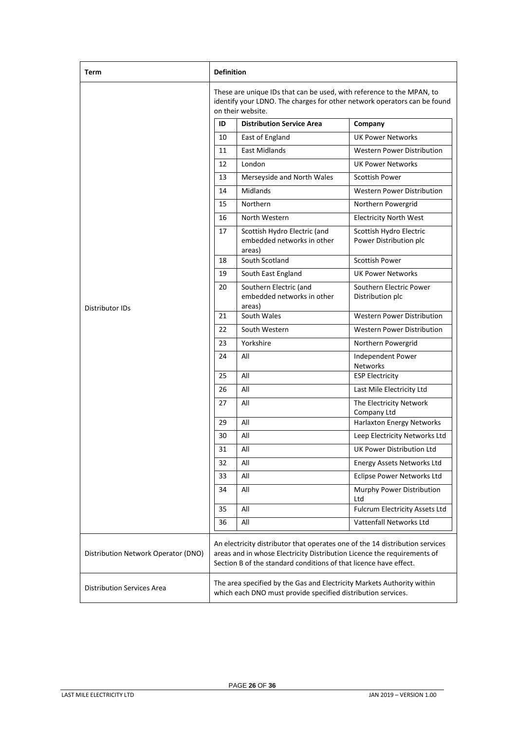| Term                                | <b>Definition</b>                                                                                                                                                                                                            |                                                                                                                                        |                                                   |
|-------------------------------------|------------------------------------------------------------------------------------------------------------------------------------------------------------------------------------------------------------------------------|----------------------------------------------------------------------------------------------------------------------------------------|---------------------------------------------------|
|                                     | These are unique IDs that can be used, with reference to the MPAN, to<br>identify your LDNO. The charges for other network operators can be found<br>on their website.                                                       |                                                                                                                                        |                                                   |
|                                     | ID                                                                                                                                                                                                                           | <b>Distribution Service Area</b>                                                                                                       | Company                                           |
|                                     | 10                                                                                                                                                                                                                           | East of England                                                                                                                        | <b>UK Power Networks</b>                          |
|                                     | 11                                                                                                                                                                                                                           | <b>East Midlands</b>                                                                                                                   | <b>Western Power Distribution</b>                 |
|                                     | 12                                                                                                                                                                                                                           | London                                                                                                                                 | <b>UK Power Networks</b>                          |
|                                     | 13                                                                                                                                                                                                                           | Merseyside and North Wales                                                                                                             | <b>Scottish Power</b>                             |
|                                     | 14                                                                                                                                                                                                                           | Midlands                                                                                                                               | Western Power Distribution                        |
|                                     | 15                                                                                                                                                                                                                           | Northern                                                                                                                               | Northern Powergrid                                |
|                                     | 16                                                                                                                                                                                                                           | North Western                                                                                                                          | Electricity North West                            |
|                                     | 17                                                                                                                                                                                                                           | Scottish Hydro Electric (and<br>embedded networks in other<br>areas)                                                                   | Scottish Hydro Electric<br>Power Distribution plc |
|                                     | 18                                                                                                                                                                                                                           | South Scotland                                                                                                                         | <b>Scottish Power</b>                             |
|                                     | 19                                                                                                                                                                                                                           | South East England                                                                                                                     | <b>UK Power Networks</b>                          |
| Distributor IDs                     | 20                                                                                                                                                                                                                           | Southern Electric (and<br>embedded networks in other<br>areas)                                                                         | Southern Electric Power<br>Distribution plc       |
|                                     | 21                                                                                                                                                                                                                           | South Wales                                                                                                                            | <b>Western Power Distribution</b>                 |
|                                     | 22                                                                                                                                                                                                                           | South Western                                                                                                                          | Western Power Distribution                        |
|                                     | 23                                                                                                                                                                                                                           | Yorkshire                                                                                                                              | Northern Powergrid                                |
|                                     | 24                                                                                                                                                                                                                           | All                                                                                                                                    | Independent Power<br>Networks                     |
|                                     | 25                                                                                                                                                                                                                           | All                                                                                                                                    | <b>ESP Electricity</b>                            |
|                                     | 26                                                                                                                                                                                                                           | All                                                                                                                                    | Last Mile Electricity Ltd                         |
|                                     | 27                                                                                                                                                                                                                           | All                                                                                                                                    | The Electricity Network<br>Company Ltd            |
|                                     | 29                                                                                                                                                                                                                           | All                                                                                                                                    | Harlaxton Energy Networks                         |
|                                     | 30                                                                                                                                                                                                                           | All                                                                                                                                    | Leep Electricity Networks Ltd                     |
|                                     | 31                                                                                                                                                                                                                           | $\mathsf{All}$                                                                                                                         | UK Power Distribution Ltd                         |
|                                     | 32                                                                                                                                                                                                                           | All                                                                                                                                    | Energy Assets Networks Ltd                        |
|                                     | 33                                                                                                                                                                                                                           | All                                                                                                                                    | Eclipse Power Networks Ltd                        |
|                                     | 34                                                                                                                                                                                                                           | All                                                                                                                                    | Murphy Power Distribution<br>Ltd                  |
|                                     | 35                                                                                                                                                                                                                           | All                                                                                                                                    | Fulcrum Electricity Assets Ltd                    |
|                                     | 36                                                                                                                                                                                                                           | All                                                                                                                                    | Vattenfall Networks Ltd                           |
| Distribution Network Operator (DNO) | An electricity distributor that operates one of the 14 distribution services<br>areas and in whose Electricity Distribution Licence the requirements of<br>Section B of the standard conditions of that licence have effect. |                                                                                                                                        |                                                   |
| <b>Distribution Services Area</b>   |                                                                                                                                                                                                                              | The area specified by the Gas and Electricity Markets Authority within<br>which each DNO must provide specified distribution services. |                                                   |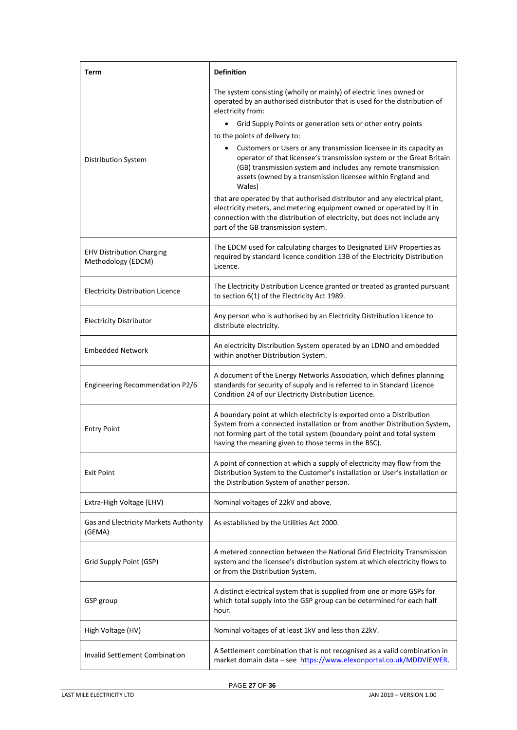| Term                                                   | <b>Definition</b>                                                                                                                                                                                                                                                                    |
|--------------------------------------------------------|--------------------------------------------------------------------------------------------------------------------------------------------------------------------------------------------------------------------------------------------------------------------------------------|
|                                                        | The system consisting (wholly or mainly) of electric lines owned or<br>operated by an authorised distributor that is used for the distribution of<br>electricity from:                                                                                                               |
|                                                        | Grid Supply Points or generation sets or other entry points<br>$\bullet$                                                                                                                                                                                                             |
|                                                        | to the points of delivery to:                                                                                                                                                                                                                                                        |
| <b>Distribution System</b>                             | Customers or Users or any transmission licensee in its capacity as<br>operator of that licensee's transmission system or the Great Britain<br>(GB) transmission system and includes any remote transmission<br>assets (owned by a transmission licensee within England and<br>Wales) |
|                                                        | that are operated by that authorised distributor and any electrical plant,<br>electricity meters, and metering equipment owned or operated by it in<br>connection with the distribution of electricity, but does not include any<br>part of the GB transmission system.              |
| <b>EHV Distribution Charging</b><br>Methodology (EDCM) | The EDCM used for calculating charges to Designated EHV Properties as<br>required by standard licence condition 13B of the Electricity Distribution<br>Licence.                                                                                                                      |
| <b>Electricity Distribution Licence</b>                | The Electricity Distribution Licence granted or treated as granted pursuant<br>to section 6(1) of the Electricity Act 1989.                                                                                                                                                          |
| <b>Electricity Distributor</b>                         | Any person who is authorised by an Electricity Distribution Licence to<br>distribute electricity.                                                                                                                                                                                    |
| <b>Embedded Network</b>                                | An electricity Distribution System operated by an LDNO and embedded<br>within another Distribution System.                                                                                                                                                                           |
| Engineering Recommendation P2/6                        | A document of the Energy Networks Association, which defines planning<br>standards for security of supply and is referred to in Standard Licence<br>Condition 24 of our Electricity Distribution Licence.                                                                            |
| <b>Entry Point</b>                                     | A boundary point at which electricity is exported onto a Distribution<br>System from a connected installation or from another Distribution System,<br>not forming part of the total system (boundary point and total system<br>having the meaning given to those terms in the BSC).  |
| <b>Exit Point</b>                                      | A point of connection at which a supply of electricity may flow from the<br>Distribution System to the Customer's installation or User's installation or<br>the Distribution System of another person.                                                                               |
| Extra-High Voltage (EHV)                               | Nominal voltages of 22kV and above.                                                                                                                                                                                                                                                  |
| Gas and Electricity Markets Authority<br>(GEMA)        | As established by the Utilities Act 2000.                                                                                                                                                                                                                                            |
| Grid Supply Point (GSP)                                | A metered connection between the National Grid Electricity Transmission<br>system and the licensee's distribution system at which electricity flows to<br>or from the Distribution System.                                                                                           |
| GSP group                                              | A distinct electrical system that is supplied from one or more GSPs for<br>which total supply into the GSP group can be determined for each half<br>hour.                                                                                                                            |
| High Voltage (HV)                                      | Nominal voltages of at least 1kV and less than 22kV.                                                                                                                                                                                                                                 |
| <b>Invalid Settlement Combination</b>                  | A Settlement combination that is not recognised as a valid combination in<br>market domain data - see https://www.elexonportal.co.uk/MDDVIEWER.                                                                                                                                      |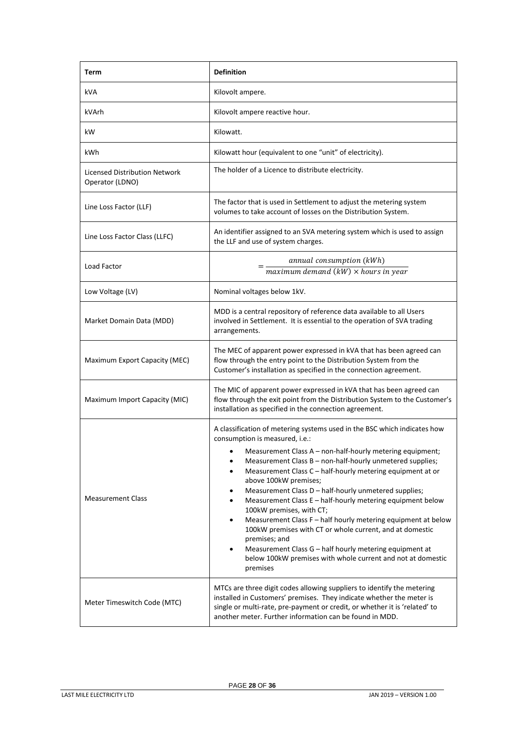| Term                                             | <b>Definition</b>                                                                                                                                                                                                                                                                                                                                                                                                                                                                                                                                                                                                                                                                                                                                                                                                                                |
|--------------------------------------------------|--------------------------------------------------------------------------------------------------------------------------------------------------------------------------------------------------------------------------------------------------------------------------------------------------------------------------------------------------------------------------------------------------------------------------------------------------------------------------------------------------------------------------------------------------------------------------------------------------------------------------------------------------------------------------------------------------------------------------------------------------------------------------------------------------------------------------------------------------|
| kVA                                              | Kilovolt ampere.                                                                                                                                                                                                                                                                                                                                                                                                                                                                                                                                                                                                                                                                                                                                                                                                                                 |
| kVArh                                            | Kilovolt ampere reactive hour.                                                                                                                                                                                                                                                                                                                                                                                                                                                                                                                                                                                                                                                                                                                                                                                                                   |
| kW.                                              | Kilowatt.                                                                                                                                                                                                                                                                                                                                                                                                                                                                                                                                                                                                                                                                                                                                                                                                                                        |
| kWh                                              | Kilowatt hour (equivalent to one "unit" of electricity).                                                                                                                                                                                                                                                                                                                                                                                                                                                                                                                                                                                                                                                                                                                                                                                         |
| Licensed Distribution Network<br>Operator (LDNO) | The holder of a Licence to distribute electricity.                                                                                                                                                                                                                                                                                                                                                                                                                                                                                                                                                                                                                                                                                                                                                                                               |
| Line Loss Factor (LLF)                           | The factor that is used in Settlement to adjust the metering system<br>volumes to take account of losses on the Distribution System.                                                                                                                                                                                                                                                                                                                                                                                                                                                                                                                                                                                                                                                                                                             |
| Line Loss Factor Class (LLFC)                    | An identifier assigned to an SVA metering system which is used to assign<br>the LLF and use of system charges.                                                                                                                                                                                                                                                                                                                                                                                                                                                                                                                                                                                                                                                                                                                                   |
| Load Factor                                      | annual consumption (kWh)<br>$maximum demand (kW) \times hours in year$                                                                                                                                                                                                                                                                                                                                                                                                                                                                                                                                                                                                                                                                                                                                                                           |
| Low Voltage (LV)                                 | Nominal voltages below 1kV.                                                                                                                                                                                                                                                                                                                                                                                                                                                                                                                                                                                                                                                                                                                                                                                                                      |
| Market Domain Data (MDD)                         | MDD is a central repository of reference data available to all Users<br>involved in Settlement. It is essential to the operation of SVA trading<br>arrangements.                                                                                                                                                                                                                                                                                                                                                                                                                                                                                                                                                                                                                                                                                 |
| Maximum Export Capacity (MEC)                    | The MEC of apparent power expressed in kVA that has been agreed can<br>flow through the entry point to the Distribution System from the<br>Customer's installation as specified in the connection agreement.                                                                                                                                                                                                                                                                                                                                                                                                                                                                                                                                                                                                                                     |
| Maximum Import Capacity (MIC)                    | The MIC of apparent power expressed in kVA that has been agreed can<br>flow through the exit point from the Distribution System to the Customer's<br>installation as specified in the connection agreement.                                                                                                                                                                                                                                                                                                                                                                                                                                                                                                                                                                                                                                      |
| <b>Measurement Class</b>                         | A classification of metering systems used in the BSC which indicates how<br>consumption is measured, i.e.:<br>Measurement Class A - non-half-hourly metering equipment;<br>Measurement Class B - non-half-hourly unmetered supplies;<br>$\bullet$<br>Measurement Class C - half-hourly metering equipment at or<br>$\bullet$<br>above 100kW premises;<br>Measurement Class D - half-hourly unmetered supplies;<br>$\bullet$<br>Measurement Class E - half-hourly metering equipment below<br>$\bullet$<br>100kW premises, with CT;<br>Measurement Class F - half hourly metering equipment at below<br>$\bullet$<br>100kW premises with CT or whole current, and at domestic<br>premises; and<br>Measurement Class G - half hourly metering equipment at<br>$\bullet$<br>below 100kW premises with whole current and not at domestic<br>premises |
| Meter Timeswitch Code (MTC)                      | MTCs are three digit codes allowing suppliers to identify the metering<br>installed in Customers' premises. They indicate whether the meter is<br>single or multi-rate, pre-payment or credit, or whether it is 'related' to<br>another meter. Further information can be found in MDD.                                                                                                                                                                                                                                                                                                                                                                                                                                                                                                                                                          |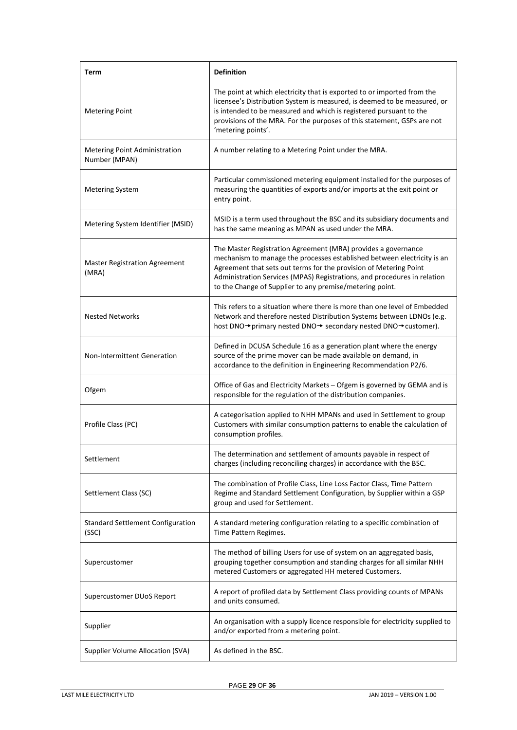| Term                                                  | <b>Definition</b>                                                                                                                                                                                                                                                                                                                                     |
|-------------------------------------------------------|-------------------------------------------------------------------------------------------------------------------------------------------------------------------------------------------------------------------------------------------------------------------------------------------------------------------------------------------------------|
| <b>Metering Point</b>                                 | The point at which electricity that is exported to or imported from the<br>licensee's Distribution System is measured, is deemed to be measured, or<br>is intended to be measured and which is registered pursuant to the<br>provisions of the MRA. For the purposes of this statement, GSPs are not<br>'metering points'.                            |
| <b>Metering Point Administration</b><br>Number (MPAN) | A number relating to a Metering Point under the MRA.                                                                                                                                                                                                                                                                                                  |
| <b>Metering System</b>                                | Particular commissioned metering equipment installed for the purposes of<br>measuring the quantities of exports and/or imports at the exit point or<br>entry point.                                                                                                                                                                                   |
| Metering System Identifier (MSID)                     | MSID is a term used throughout the BSC and its subsidiary documents and<br>has the same meaning as MPAN as used under the MRA.                                                                                                                                                                                                                        |
| <b>Master Registration Agreement</b><br>(MRA)         | The Master Registration Agreement (MRA) provides a governance<br>mechanism to manage the processes established between electricity is an<br>Agreement that sets out terms for the provision of Metering Point<br>Administration Services (MPAS) Registrations, and procedures in relation<br>to the Change of Supplier to any premise/metering point. |
| <b>Nested Networks</b>                                | This refers to a situation where there is more than one level of Embedded<br>Network and therefore nested Distribution Systems between LDNOs (e.g.<br>host DNO→primary nested DNO→ secondary nested DNO→customer).                                                                                                                                    |
| <b>Non-Intermittent Generation</b>                    | Defined in DCUSA Schedule 16 as a generation plant where the energy<br>source of the prime mover can be made available on demand, in<br>accordance to the definition in Engineering Recommendation P2/6.                                                                                                                                              |
| Ofgem                                                 | Office of Gas and Electricity Markets - Ofgem is governed by GEMA and is<br>responsible for the regulation of the distribution companies.                                                                                                                                                                                                             |
| Profile Class (PC)                                    | A categorisation applied to NHH MPANs and used in Settlement to group<br>Customers with similar consumption patterns to enable the calculation of<br>consumption profiles.                                                                                                                                                                            |
| Settlement                                            | The determination and settlement of amounts payable in respect of<br>charges (including reconciling charges) in accordance with the BSC.                                                                                                                                                                                                              |
| Settlement Class (SC)                                 | The combination of Profile Class, Line Loss Factor Class, Time Pattern<br>Regime and Standard Settlement Configuration, by Supplier within a GSP<br>group and used for Settlement.                                                                                                                                                                    |
| <b>Standard Settlement Configuration</b><br>(SSC)     | A standard metering configuration relating to a specific combination of<br>Time Pattern Regimes.                                                                                                                                                                                                                                                      |
| Supercustomer                                         | The method of billing Users for use of system on an aggregated basis,<br>grouping together consumption and standing charges for all similar NHH<br>metered Customers or aggregated HH metered Customers.                                                                                                                                              |
| Supercustomer DUoS Report                             | A report of profiled data by Settlement Class providing counts of MPANs<br>and units consumed.                                                                                                                                                                                                                                                        |
| Supplier                                              | An organisation with a supply licence responsible for electricity supplied to<br>and/or exported from a metering point.                                                                                                                                                                                                                               |
| Supplier Volume Allocation (SVA)                      | As defined in the BSC.                                                                                                                                                                                                                                                                                                                                |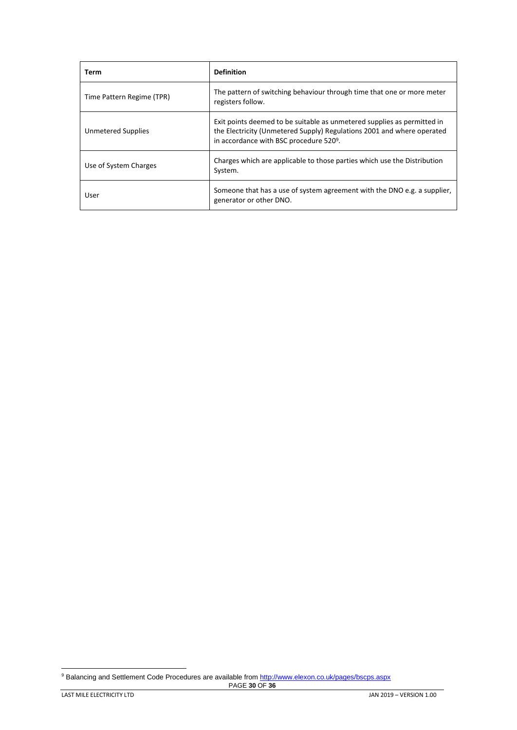| Term                      | <b>Definition</b>                                                                                                                                                                                        |
|---------------------------|----------------------------------------------------------------------------------------------------------------------------------------------------------------------------------------------------------|
| Time Pattern Regime (TPR) | The pattern of switching behaviour through time that one or more meter<br>registers follow.                                                                                                              |
| Unmetered Supplies        | Exit points deemed to be suitable as unmetered supplies as permitted in<br>the Electricity (Unmetered Supply) Regulations 2001 and where operated<br>in accordance with BSC procedure 520 <sup>9</sup> . |
| Use of System Charges     | Charges which are applicable to those parties which use the Distribution<br>System.                                                                                                                      |
| User                      | Someone that has a use of system agreement with the DNO e.g. a supplier,<br>generator or other DNO.                                                                                                      |

<sup>9</sup> Balancing and Settlement Code Procedures are available fro[m http://www.elexon.co.uk/pages/bscps.aspx](http://www.elexon.co.uk/pages/bscps.aspx)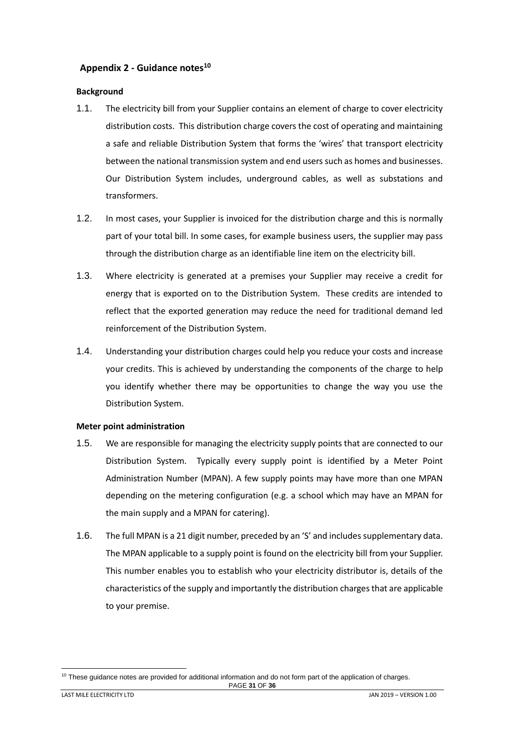# <span id="page-30-0"></span>**Appendix 2 - Guidance notes<sup>10</sup>**

#### <span id="page-30-1"></span>**Background**

- 1.1. The electricity bill from your Supplier contains an element of charge to cover electricity distribution costs. This distribution charge covers the cost of operating and maintaining a safe and reliable Distribution System that forms the 'wires' that transport electricity between the national transmission system and end users such as homes and businesses. Our Distribution System includes, underground cables, as well as substations and transformers.
- 1.2. In most cases, your Supplier is invoiced for the distribution charge and this is normally part of your total bill. In some cases, for example business users, the supplier may pass through the distribution charge as an identifiable line item on the electricity bill.
- 1.3. Where electricity is generated at a premises your Supplier may receive a credit for energy that is exported on to the Distribution System. These credits are intended to reflect that the exported generation may reduce the need for traditional demand led reinforcement of the Distribution System.
- 1.4. Understanding your distribution charges could help you reduce your costs and increase your credits. This is achieved by understanding the components of the charge to help you identify whether there may be opportunities to change the way you use the Distribution System.

#### <span id="page-30-2"></span>**Meter point administration**

- 1.5. We are responsible for managing the electricity supply points that are connected to our Distribution System. Typically every supply point is identified by a Meter Point Administration Number (MPAN). A few supply points may have more than one MPAN depending on the metering configuration (e.g. a school which may have an MPAN for the main supply and a MPAN for catering).
- 1.6. The full MPAN is a 21 digit number, preceded by an 'S' and includes supplementary data. The MPAN applicable to a supply point is found on the electricity bill from your Supplier. This number enables you to establish who your electricity distributor is, details of the characteristics of the supply and importantly the distribution charges that are applicable to your premise.

PAGE **31** OF **36**  $10$  These guidance notes are provided for additional information and do not form part of the application of charges.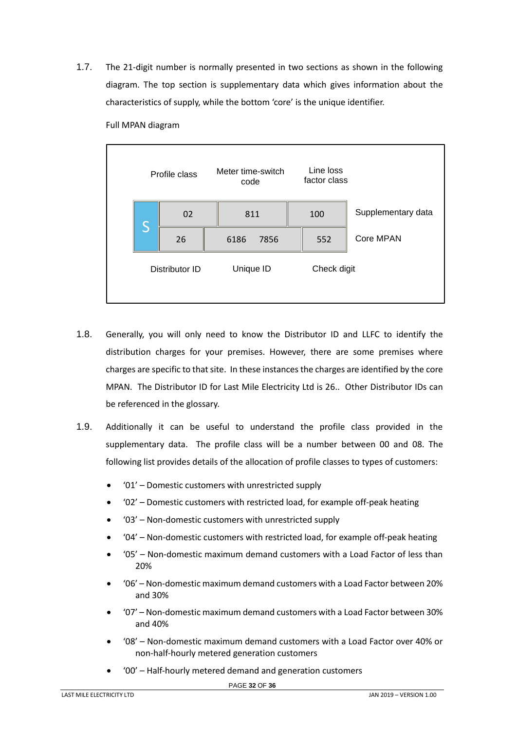1.7. The 21-digit number is normally presented in two sections as shown in the following diagram. The top section is supplementary data which gives information about the characteristics of supply, while the bottom 'core' is the unique identifier.



Full MPAN diagram

- 1.8. Generally, you will only need to know the Distributor ID and LLFC to identify the distribution charges for your premises. However, there are some premises where charges are specific to that site. In these instances the charges are identified by the core MPAN. The Distributor ID for Last Mile Electricity Ltd is 26.. Other Distributor IDs can be referenced in the glossary.
- 1.9. Additionally it can be useful to understand the profile class provided in the supplementary data. The profile class will be a number between 00 and 08. The following list provides details of the allocation of profile classes to types of customers:
	- '01' Domestic customers with unrestricted supply
	- '02' Domestic customers with restricted load, for example off-peak heating
	- '03' Non-domestic customers with unrestricted supply
	- '04' Non-domestic customers with restricted load, for example off-peak heating
	- '05' Non-domestic maximum demand customers with a Load Factor of less than 20%
	- '06' Non-domestic maximum demand customers with a Load Factor between 20% and 30%
	- '07' Non-domestic maximum demand customers with a Load Factor between 30% and 40%
	- '08' Non-domestic maximum demand customers with a Load Factor over 40% or non-half-hourly metered generation customers
	- '00' Half-hourly metered demand and generation customers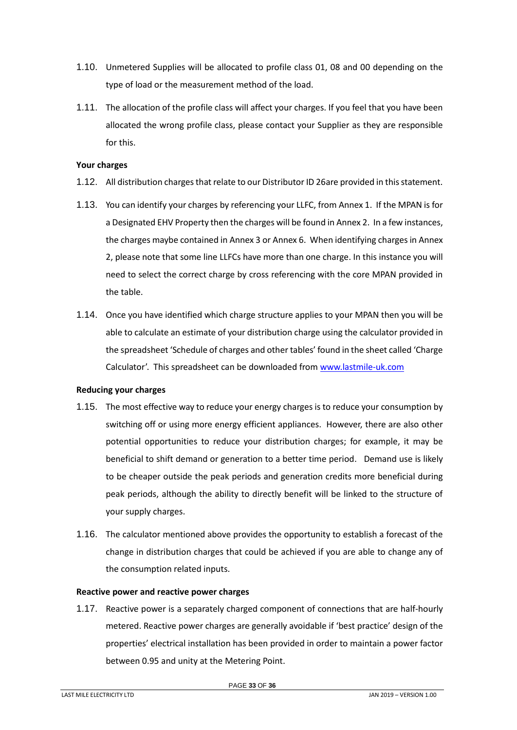- 1.10. Unmetered Supplies will be allocated to profile class 01, 08 and 00 depending on the type of load or the measurement method of the load.
- 1.11. The allocation of the profile class will affect your charges. If you feel that you have been allocated the wrong profile class, please contact your Supplier as they are responsible for this.

## <span id="page-32-0"></span>**Your charges**

- 1.12. All distribution charges that relate to our Distributor ID 26are provided in this statement.
- 1.13. You can identify your charges by referencing your LLFC, from Annex 1. If the MPAN is for a Designated EHV Property then the charges will be found in Annex 2. In a few instances, the charges maybe contained in Annex 3 or Annex 6. When identifying charges in Annex 2, please note that some line LLFCs have more than one charge. In this instance you will need to select the correct charge by cross referencing with the core MPAN provided in the table.
- 1.14. Once you have identified which charge structure applies to your MPAN then you will be able to calculate an estimate of your distribution charge using the calculator provided in the spreadsheet 'Schedule of charges and other tables' found in the sheet called 'Charge Calculator'. This spreadsheet can be downloaded from [www.lastmile-uk.com](http://www.energetics-uk.com/our-utility-networks/energetics-electricity-networks/)

# <span id="page-32-1"></span>**Reducing your charges**

- 1.15. The most effective way to reduce your energy charges is to reduce your consumption by switching off or using more energy efficient appliances. However, there are also other potential opportunities to reduce your distribution charges; for example, it may be beneficial to shift demand or generation to a better time period. Demand use is likely to be cheaper outside the peak periods and generation credits more beneficial during peak periods, although the ability to directly benefit will be linked to the structure of your supply charges.
- 1.16. The calculator mentioned above provides the opportunity to establish a forecast of the change in distribution charges that could be achieved if you are able to change any of the consumption related inputs.

# <span id="page-32-2"></span>**Reactive power and reactive power charges**

1.17. Reactive power is a separately charged component of connections that are half-hourly metered. Reactive power charges are generally avoidable if 'best practice' design of the properties' electrical installation has been provided in order to maintain a power factor between 0.95 and unity at the Metering Point.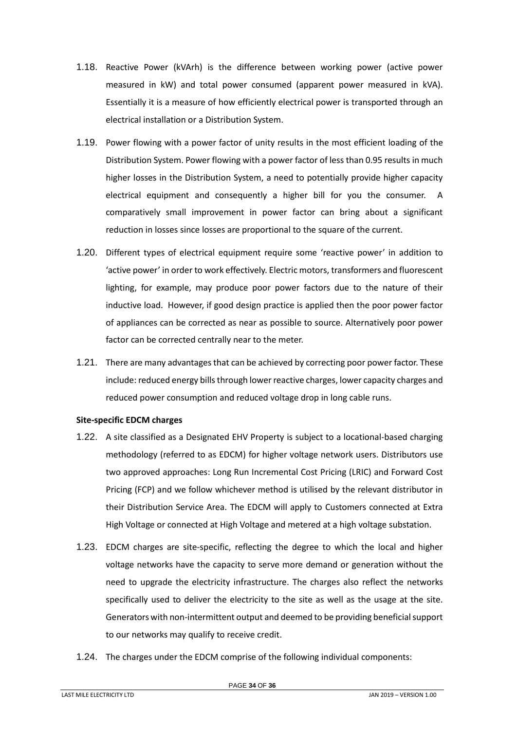- 1.18. Reactive Power (kVArh) is the difference between working power (active power measured in kW) and total power consumed (apparent power measured in kVA). Essentially it is a measure of how efficiently electrical power is transported through an electrical installation or a Distribution System.
- 1.19. Power flowing with a power factor of unity results in the most efficient loading of the Distribution System. Power flowing with a power factor of less than 0.95 results in much higher losses in the Distribution System, a need to potentially provide higher capacity electrical equipment and consequently a higher bill for you the consumer. A comparatively small improvement in power factor can bring about a significant reduction in losses since losses are proportional to the square of the current.
- 1.20. Different types of electrical equipment require some 'reactive power' in addition to 'active power' in order to work effectively. Electric motors, transformers and fluorescent lighting, for example, may produce poor power factors due to the nature of their inductive load. However, if good design practice is applied then the poor power factor of appliances can be corrected as near as possible to source. Alternatively poor power factor can be corrected centrally near to the meter.
- 1.21. There are many advantages that can be achieved by correcting poor power factor. These include: reduced energy bills through lower reactive charges, lower capacity charges and reduced power consumption and reduced voltage drop in long cable runs.

#### <span id="page-33-0"></span>**Site-specific EDCM charges**

- 1.22. A site classified as a Designated EHV Property is subject to a locational-based charging methodology (referred to as EDCM) for higher voltage network users. Distributors use two approved approaches: Long Run Incremental Cost Pricing (LRIC) and Forward Cost Pricing (FCP) and we follow whichever method is utilised by the relevant distributor in their Distribution Service Area. The EDCM will apply to Customers connected at Extra High Voltage or connected at High Voltage and metered at a high voltage substation.
- 1.23. EDCM charges are site-specific, reflecting the degree to which the local and higher voltage networks have the capacity to serve more demand or generation without the need to upgrade the electricity infrastructure. The charges also reflect the networks specifically used to deliver the electricity to the site as well as the usage at the site. Generators with non-intermittent output and deemed to be providing beneficial support to our networks may qualify to receive credit.
- 1.24. The charges under the EDCM comprise of the following individual components: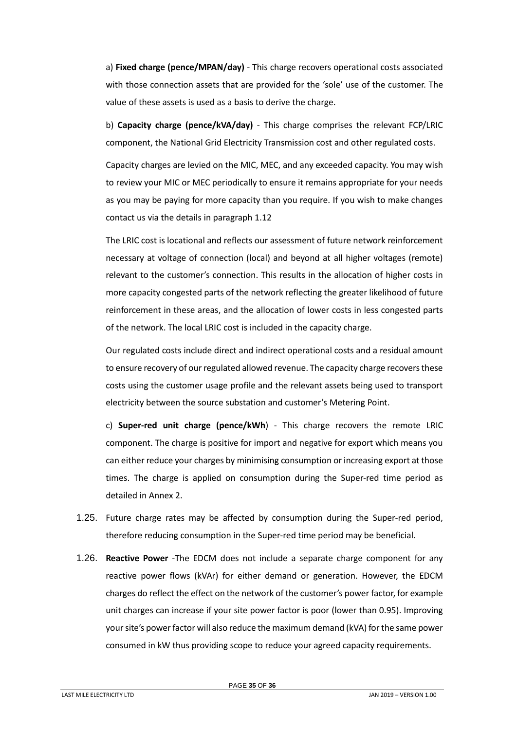a) **Fixed charge (pence/MPAN/day)** - This charge recovers operational costs associated with those connection assets that are provided for the 'sole' use of the customer. The value of these assets is used as a basis to derive the charge.

b) **Capacity charge (pence/kVA/day)** - This charge comprises the relevant FCP/LRIC component, the National Grid Electricity Transmission cost and other regulated costs.

Capacity charges are levied on the MIC, MEC, and any exceeded capacity. You may wish to review your MIC or MEC periodically to ensure it remains appropriate for your needs as you may be paying for more capacity than you require. If you wish to make changes contact us via the details in paragraph [1.12](#page-4-2)

The LRIC cost is locational and reflects our assessment of future network reinforcement necessary at voltage of connection (local) and beyond at all higher voltages (remote) relevant to the customer's connection. This results in the allocation of higher costs in more capacity congested parts of the network reflecting the greater likelihood of future reinforcement in these areas, and the allocation of lower costs in less congested parts of the network. The local LRIC cost is included in the capacity charge.

Our regulated costs include direct and indirect operational costs and a residual amount to ensure recovery of our regulated allowed revenue. The capacity charge recovers these costs using the customer usage profile and the relevant assets being used to transport electricity between the source substation and customer's Metering Point.

c) **Super-red unit charge (pence/kWh**) - This charge recovers the remote LRIC component. The charge is positive for import and negative for export which means you can either reduce your charges by minimising consumption or increasing export at those times. The charge is applied on consumption during the Super-red time period as detailed in Annex 2.

- 1.25. Future charge rates may be affected by consumption during the Super-red period, therefore reducing consumption in the Super-red time period may be beneficial.
- 1.26. **Reactive Power** -The EDCM does not include a separate charge component for any reactive power flows (kVAr) for either demand or generation. However, the EDCM charges do reflect the effect on the network of the customer's power factor, for example unit charges can increase if your site power factor is poor (lower than 0.95). Improving your site's power factor will also reduce the maximum demand (kVA) for the same power consumed in kW thus providing scope to reduce your agreed capacity requirements.